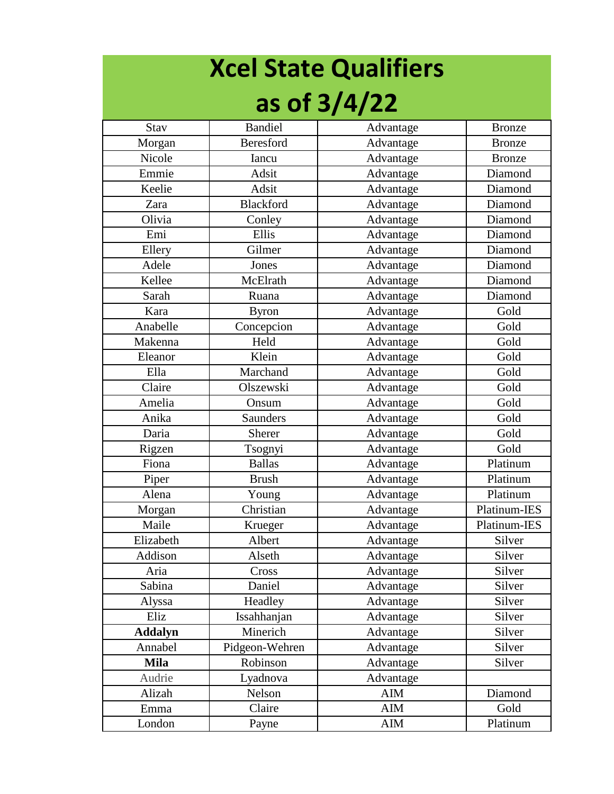## **Xcel State Qualifiers as of 3/4/22**

| <b>Stav</b>    | <b>Bandiel</b>   | Advantage | <b>Bronze</b> |
|----------------|------------------|-----------|---------------|
| Morgan         | <b>Beresford</b> | Advantage | <b>Bronze</b> |
| Nicole         | Iancu            | Advantage | <b>Bronze</b> |
| Emmie          | Adsit            | Advantage | Diamond       |
| Keelie         | Adsit            | Advantage | Diamond       |
| Zara           | Blackford        | Advantage | Diamond       |
| Olivia         | Conley           | Advantage | Diamond       |
| Emi            | Ellis            | Advantage | Diamond       |
| Ellery         | Gilmer           | Advantage | Diamond       |
| Adele          | Jones            | Advantage | Diamond       |
| Kellee         | McElrath         | Advantage | Diamond       |
| Sarah          | Ruana            | Advantage | Diamond       |
| Kara           | <b>Byron</b>     | Advantage | Gold          |
| Anabelle       | Concepcion       | Advantage | Gold          |
| Makenna        | Held             | Advantage | Gold          |
| Eleanor        | Klein            | Advantage | Gold          |
| Ella           | Marchand         | Advantage | Gold          |
| Claire         | Olszewski        | Advantage | Gold          |
| Amelia         | Onsum            | Advantage | Gold          |
| Anika          | <b>Saunders</b>  | Advantage | Gold          |
| Daria          | <b>Sherer</b>    | Advantage | Gold          |
| Rigzen         | Tsognyi          | Advantage | Gold          |
| Fiona          | <b>Ballas</b>    | Advantage | Platinum      |
| Piper          | <b>Brush</b>     | Advantage | Platinum      |
| Alena          | Young            | Advantage | Platinum      |
| Morgan         | Christian        | Advantage | Platinum-IES  |
| Maile          | Krueger          | Advantage | Platinum-IES  |
| Elizabeth      | Albert           | Advantage | Silver        |
| Addison        | Alseth           | Advantage | Silver        |
| Aria           | Cross            | Advantage | Silver        |
| Sabina         | Daniel           | Advantage | Silver        |
| Alyssa         | Headley          | Advantage | Silver        |
| Eliz           | Issahhanjan      | Advantage | Silver        |
| <b>Addalyn</b> | Minerich         | Advantage | Silver        |
| Annabel        | Pidgeon-Wehren   | Advantage | Silver        |
| <b>Mila</b>    | Robinson         | Advantage | Silver        |
| Audrie         | Lyadnova         | Advantage |               |
| Alizah         | Nelson           | AIM       | Diamond       |
| Emma           | Claire           | AIM       | Gold          |
| London         | Payne            | AIM       | Platinum      |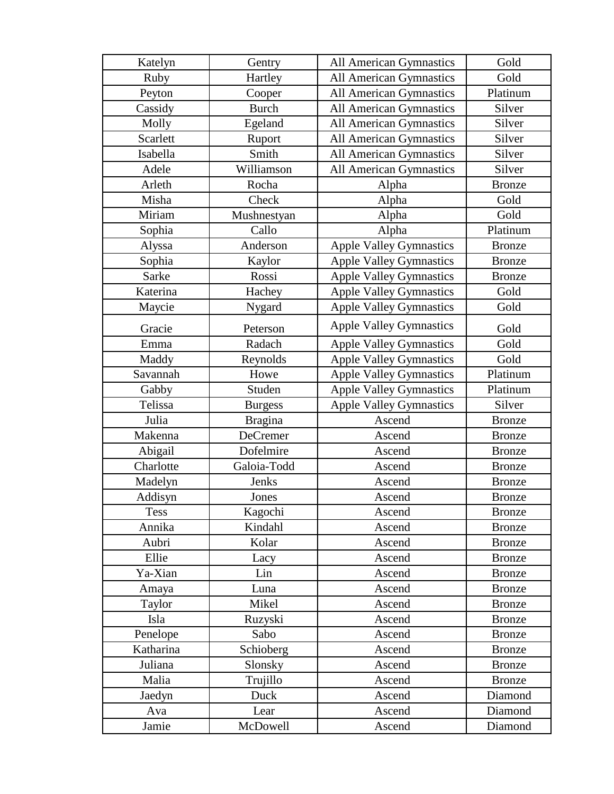| Katelyn     | Gentry         | <b>All American Gymnastics</b> | Gold          |
|-------------|----------------|--------------------------------|---------------|
| Ruby        | Hartley        | <b>All American Gymnastics</b> | Gold          |
| Peyton      | Cooper         | <b>All American Gymnastics</b> | Platinum      |
| Cassidy     | <b>Burch</b>   | <b>All American Gymnastics</b> | Silver        |
| Molly       | Egeland        | <b>All American Gymnastics</b> | Silver        |
| Scarlett    | Ruport         | <b>All American Gymnastics</b> | Silver        |
| Isabella    | Smith          | All American Gymnastics        | Silver        |
| Adele       | Williamson     | <b>All American Gymnastics</b> | Silver        |
| Arleth      | Rocha          | Alpha                          | <b>Bronze</b> |
| Misha       | Check          | Alpha                          | Gold          |
| Miriam      | Mushnestyan    | Alpha                          | Gold          |
| Sophia      | Callo          | Alpha                          | Platinum      |
| Alyssa      | Anderson       | <b>Apple Valley Gymnastics</b> | <b>Bronze</b> |
| Sophia      | Kaylor         | <b>Apple Valley Gymnastics</b> | <b>Bronze</b> |
| Sarke       | Rossi          | <b>Apple Valley Gymnastics</b> | <b>Bronze</b> |
| Katerina    | Hachey         | <b>Apple Valley Gymnastics</b> | Gold          |
| Maycie      | Nygard         | <b>Apple Valley Gymnastics</b> | Gold          |
| Gracie      | Peterson       | <b>Apple Valley Gymnastics</b> | Gold          |
| Emma        | Radach         | <b>Apple Valley Gymnastics</b> | Gold          |
| Maddy       | Reynolds       | <b>Apple Valley Gymnastics</b> | Gold          |
| Savannah    | Howe           | <b>Apple Valley Gymnastics</b> | Platinum      |
| Gabby       | Studen         | <b>Apple Valley Gymnastics</b> | Platinum      |
| Telissa     | <b>Burgess</b> | <b>Apple Valley Gymnastics</b> | Silver        |
| Julia       | <b>Bragina</b> | Ascend                         | <b>Bronze</b> |
| Makenna     | DeCremer       | Ascend                         | <b>Bronze</b> |
| Abigail     | Dofelmire      | Ascend                         | <b>Bronze</b> |
| Charlotte   | Galoia-Todd    | Ascend                         | <b>Bronze</b> |
| Madelyn     | Jenks          | Ascend                         | <b>Bronze</b> |
| Addisyn     | Jones          | Ascend                         | <b>Bronze</b> |
| <b>Tess</b> | Kagochi        | Ascend                         | <b>Bronze</b> |
| Annika      | Kindahl        | Ascend                         | <b>Bronze</b> |
| Aubri       | Kolar          | Ascend                         | <b>Bronze</b> |
| Ellie       | Lacy           | Ascend                         | <b>Bronze</b> |
| Ya-Xian     | Lin            | Ascend                         | <b>Bronze</b> |
| Amaya       | Luna           | Ascend                         | <b>Bronze</b> |
| Taylor      | Mikel          | Ascend                         | <b>Bronze</b> |
| Isla        | Ruzyski        | Ascend                         | <b>Bronze</b> |
| Penelope    | Sabo           | Ascend                         | <b>Bronze</b> |
| Katharina   | Schioberg      | Ascend                         | <b>Bronze</b> |
| Juliana     | Slonsky        | Ascend                         | <b>Bronze</b> |
| Malia       | Trujillo       | Ascend                         | <b>Bronze</b> |
| Jaedyn      | Duck           | Ascend                         | Diamond       |
| Ava         | Lear           | Ascend                         | Diamond       |
| Jamie       | McDowell       | Ascend                         | Diamond       |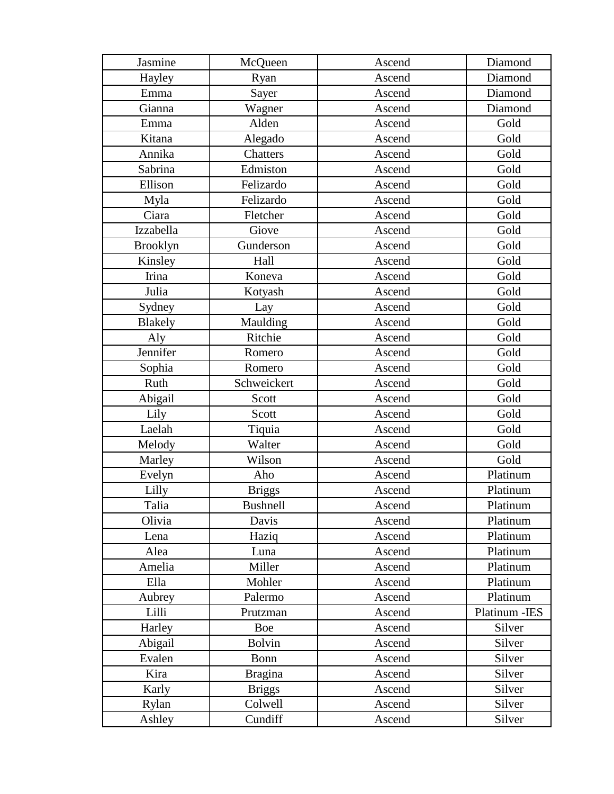| Jasmine         | McQueen         | Ascend | Diamond        |
|-----------------|-----------------|--------|----------------|
| Hayley          | Ryan            | Ascend | Diamond        |
| Emma            | Sayer           | Ascend | Diamond        |
| Gianna          | Wagner          | Ascend | Diamond        |
| Emma            | Alden           | Ascend | Gold           |
| Kitana          | Alegado         | Ascend | Gold           |
| Annika          | Chatters        | Ascend | Gold           |
| Sabrina         | Edmiston        | Ascend | Gold           |
| Ellison         | Felizardo       | Ascend | Gold           |
| Myla            | Felizardo       | Ascend | Gold           |
| Ciara           | Fletcher        | Ascend | Gold           |
| Izzabella       | Giove           | Ascend | Gold           |
| <b>Brooklyn</b> | Gunderson       | Ascend | Gold           |
| Kinsley         | Hall            | Ascend | Gold           |
| Irina           | Koneva          | Ascend | Gold           |
| Julia           | Kotyash         | Ascend | Gold           |
| Sydney          | Lay             | Ascend | Gold           |
| <b>Blakely</b>  | Maulding        | Ascend | Gold           |
| Aly             | Ritchie         | Ascend | Gold           |
| Jennifer        | Romero          | Ascend | Gold           |
| Sophia          | Romero          | Ascend | Gold           |
| Ruth            | Schweickert     | Ascend | Gold           |
| Abigail         | Scott           | Ascend | Gold           |
| Lily            | Scott           | Ascend | Gold           |
| Laelah          | Tiquia          | Ascend | Gold           |
| Melody          | Walter          | Ascend | Gold           |
| Marley          | Wilson          | Ascend | Gold           |
| Evelyn          | Aho             | Ascend | Platinum       |
| Lilly           | <b>Briggs</b>   | Ascend | Platinum       |
| Talia           | <b>Bushnell</b> | Ascend | Platinum       |
| Olivia          | Davis           | Ascend | Platinum       |
| Lena            | Haziq           | Ascend | Platinum       |
| Alea            | Luna            | Ascend | Platinum       |
| Amelia          | Miller          | Ascend | Platinum       |
| Ella            | Mohler          | Ascend | Platinum       |
| Aubrey          | Palermo         | Ascend | Platinum       |
| Lilli           | Prutzman        | Ascend | Platinum - IES |
| Harley          | Boe             | Ascend | Silver         |
| Abigail         | <b>Bolvin</b>   | Ascend | Silver         |
| Evalen          | Bonn            | Ascend | Silver         |
| Kira            | <b>Bragina</b>  | Ascend | Silver         |
| Karly           | <b>Briggs</b>   | Ascend | Silver         |
| Rylan           | Colwell         | Ascend | Silver         |
| Ashley          | Cundiff         | Ascend | Silver         |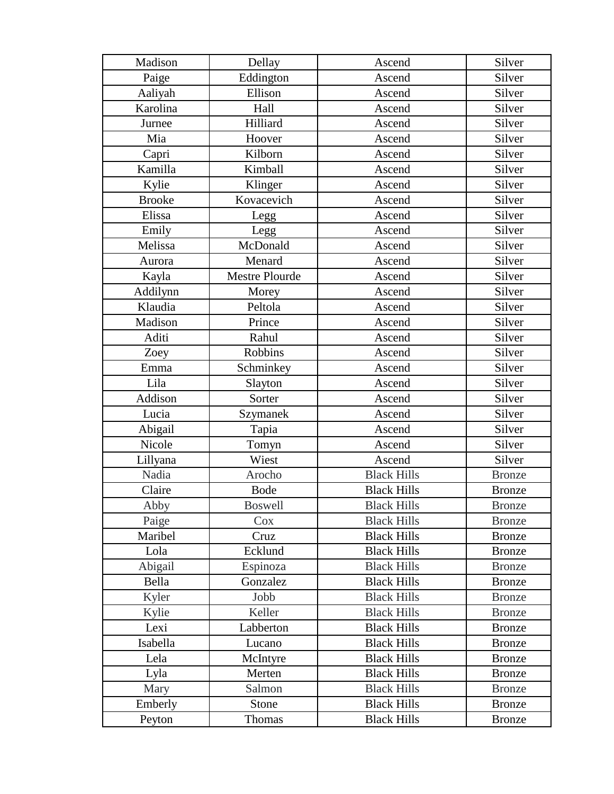| Madison       | Dellay                | Ascend             | Silver        |
|---------------|-----------------------|--------------------|---------------|
| Paige         | Eddington             | Ascend             | Silver        |
| Aaliyah       | Ellison               | Ascend             | Silver        |
| Karolina      | Hall                  | Ascend             | Silver        |
| Jurnee        | Hilliard              | Ascend             | Silver        |
| Mia           | Hoover                | Ascend             | Silver        |
| Capri         | Kilborn               | Ascend             | Silver        |
| Kamilla       | Kimball               | Ascend             | Silver        |
| Kylie         | Klinger               | Ascend             | Silver        |
| <b>Brooke</b> | Kovacevich            | Ascend             | Silver        |
| Elissa        | Legg                  | Ascend             | Silver        |
| Emily         | Legg                  | Ascend             | Silver        |
| Melissa       | McDonald              | Ascend             | Silver        |
| Aurora        | Menard                | Ascend             | Silver        |
| Kayla         | <b>Mestre Plourde</b> | Ascend             | Silver        |
| Addilynn      | Morey                 | Ascend             | Silver        |
| Klaudia       | Peltola               | Ascend             | Silver        |
| Madison       | Prince                | Ascend             | Silver        |
| Aditi         | Rahul                 | Ascend             | Silver        |
| Zoey          | Robbins               | Ascend             | Silver        |
| Emma          | Schminkey             | Ascend             | Silver        |
| Lila          | Slayton               | Ascend             | Silver        |
| Addison       | Sorter                | Ascend             | Silver        |
| Lucia         | Szymanek              | Ascend             | Silver        |
| Abigail       | Tapia                 | Ascend             | Silver        |
| Nicole        | Tomyn                 | Ascend             | Silver        |
| Lillyana      | Wiest                 | Ascend             | Silver        |
| Nadia         | Arocho                | <b>Black Hills</b> | <b>Bronze</b> |
| Claire        | <b>Bode</b>           | <b>Black Hills</b> | <b>Bronze</b> |
| Abby          | <b>Boswell</b>        | <b>Black Hills</b> | <b>Bronze</b> |
| Paige         | Cox                   | <b>Black Hills</b> | <b>Bronze</b> |
| Maribel       | Cruz                  | <b>Black Hills</b> | <b>Bronze</b> |
| Lola          | Ecklund               | <b>Black Hills</b> | <b>Bronze</b> |
| Abigail       | Espinoza              | <b>Black Hills</b> | <b>Bronze</b> |
| Bella         | Gonzalez              | <b>Black Hills</b> | <b>Bronze</b> |
| Kyler         | Jobb                  | <b>Black Hills</b> | <b>Bronze</b> |
| Kylie         | Keller                | <b>Black Hills</b> | <b>Bronze</b> |
| Lexi          | Labberton             | <b>Black Hills</b> | <b>Bronze</b> |
| Isabella      | Lucano                | <b>Black Hills</b> | <b>Bronze</b> |
| Lela          | McIntyre              | <b>Black Hills</b> | <b>Bronze</b> |
| Lyla          | Merten                | <b>Black Hills</b> | <b>Bronze</b> |
| Mary          | Salmon                | <b>Black Hills</b> | <b>Bronze</b> |
| Emberly       | Stone                 | <b>Black Hills</b> | <b>Bronze</b> |
| Peyton        | Thomas                | <b>Black Hills</b> | <b>Bronze</b> |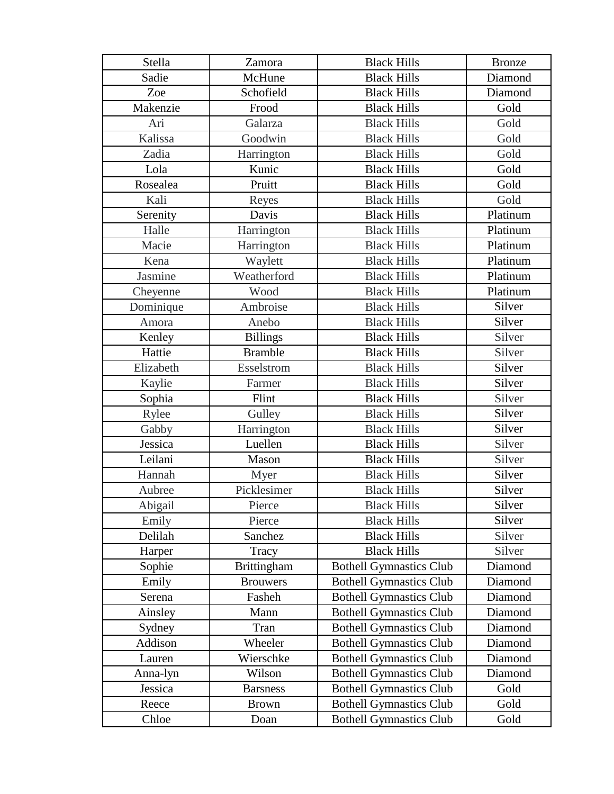| Stella    | Zamora             | <b>Black Hills</b>             | <b>Bronze</b> |
|-----------|--------------------|--------------------------------|---------------|
| Sadie     | McHune             | <b>Black Hills</b>             | Diamond       |
| Zoe       | Schofield          | <b>Black Hills</b>             | Diamond       |
| Makenzie  | Frood              | <b>Black Hills</b>             | Gold          |
| Ari       | Galarza            | <b>Black Hills</b>             | Gold          |
| Kalissa   | Goodwin            | <b>Black Hills</b>             | Gold          |
| Zadia     | Harrington         | <b>Black Hills</b>             | Gold          |
| Lola      | Kunic              | <b>Black Hills</b>             | Gold          |
| Rosealea  | Pruitt             | <b>Black Hills</b>             | Gold          |
| Kali      | Reyes              | <b>Black Hills</b>             | Gold          |
| Serenity  | Davis              | <b>Black Hills</b>             | Platinum      |
| Halle     | Harrington         | <b>Black Hills</b>             | Platinum      |
| Macie     | Harrington         | <b>Black Hills</b>             | Platinum      |
| Kena      | Waylett            | <b>Black Hills</b>             | Platinum      |
| Jasmine   | Weatherford        | <b>Black Hills</b>             | Platinum      |
| Cheyenne  | Wood               | <b>Black Hills</b>             | Platinum      |
| Dominique | Ambroise           | <b>Black Hills</b>             | Silver        |
| Amora     | Anebo              | <b>Black Hills</b>             | Silver        |
| Kenley    | <b>Billings</b>    | <b>Black Hills</b>             | Silver        |
| Hattie    | <b>Bramble</b>     | <b>Black Hills</b>             | Silver        |
| Elizabeth | Esselstrom         | <b>Black Hills</b>             | Silver        |
| Kaylie    | Farmer             | <b>Black Hills</b>             | Silver        |
| Sophia    | Flint              | <b>Black Hills</b>             | Silver        |
| Rylee     | Gulley             | <b>Black Hills</b>             | Silver        |
| Gabby     | Harrington         | <b>Black Hills</b>             | Silver        |
| Jessica   | Luellen            | <b>Black Hills</b>             | Silver        |
| Leilani   | Mason              | <b>Black Hills</b>             | Silver        |
| Hannah    | Myer               | <b>Black Hills</b>             | Silver        |
| Aubree    | Picklesimer        | <b>Black Hills</b>             | Silver        |
| Abigail   | Pierce             | <b>Black Hills</b>             | Silver        |
| Emily     | Pierce             | <b>Black Hills</b>             | Silver        |
| Delilah   | Sanchez            | <b>Black Hills</b>             | Silver        |
| Harper    | Tracy              | <b>Black Hills</b>             | Silver        |
| Sophie    | <b>Brittingham</b> | <b>Bothell Gymnastics Club</b> | Diamond       |
| Emily     | <b>Brouwers</b>    | <b>Bothell Gymnastics Club</b> | Diamond       |
| Serena    | Fasheh             | <b>Bothell Gymnastics Club</b> | Diamond       |
| Ainsley   | Mann               | <b>Bothell Gymnastics Club</b> | Diamond       |
| Sydney    | Tran               | <b>Bothell Gymnastics Club</b> | Diamond       |
| Addison   | Wheeler            | <b>Bothell Gymnastics Club</b> | Diamond       |
| Lauren    | Wierschke          | <b>Bothell Gymnastics Club</b> | Diamond       |
| Anna-lyn  | Wilson             | <b>Bothell Gymnastics Club</b> | Diamond       |
| Jessica   | <b>Barsness</b>    | <b>Bothell Gymnastics Club</b> | Gold          |
| Reece     | <b>Brown</b>       | <b>Bothell Gymnastics Club</b> | Gold          |
| Chloe     | Doan               | <b>Bothell Gymnastics Club</b> | Gold          |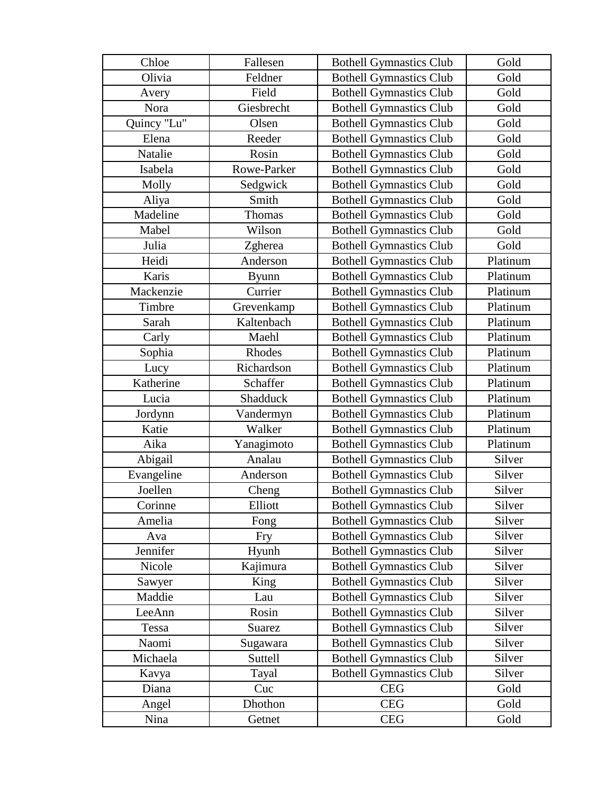| Chloe       | Fallesen     | <b>Bothell Gymnastics Club</b> | Gold     |
|-------------|--------------|--------------------------------|----------|
| Olivia      | Feldner      | <b>Bothell Gymnastics Club</b> | Gold     |
| Avery       | Field        | <b>Bothell Gymnastics Club</b> | Gold     |
| Nora        | Giesbrecht   | <b>Bothell Gymnastics Club</b> | Gold     |
| Quincy "Lu" | Olsen        | <b>Bothell Gymnastics Club</b> | Gold     |
| Elena       | Reeder       | <b>Bothell Gymnastics Club</b> | Gold     |
| Natalie     | Rosin        | <b>Bothell Gymnastics Club</b> | Gold     |
| Isabela     | Rowe-Parker  | <b>Bothell Gymnastics Club</b> | Gold     |
| Molly       | Sedgwick     | <b>Bothell Gymnastics Club</b> | Gold     |
| Aliya       | Smith        | <b>Bothell Gymnastics Club</b> | Gold     |
| Madeline    | Thomas       | <b>Bothell Gymnastics Club</b> | Gold     |
| Mabel       | Wilson       | <b>Bothell Gymnastics Club</b> | Gold     |
| Julia       | Zgherea      | <b>Bothell Gymnastics Club</b> | Gold     |
| Heidi       | Anderson     | <b>Bothell Gymnastics Club</b> | Platinum |
| Karis       | <b>Byunn</b> | <b>Bothell Gymnastics Club</b> | Platinum |
| Mackenzie   | Currier      | <b>Bothell Gymnastics Club</b> | Platinum |
| Timbre      | Grevenkamp   | <b>Bothell Gymnastics Club</b> | Platinum |
| Sarah       | Kaltenbach   | <b>Bothell Gymnastics Club</b> | Platinum |
| Carly       | Maehl        | <b>Bothell Gymnastics Club</b> | Platinum |
| Sophia      | Rhodes       | <b>Bothell Gymnastics Club</b> | Platinum |
| Lucy        | Richardson   | <b>Bothell Gymnastics Club</b> | Platinum |
| Katherine   | Schaffer     | <b>Bothell Gymnastics Club</b> | Platinum |
| Lucia       | Shadduck     | <b>Bothell Gymnastics Club</b> | Platinum |
| Jordynn     | Vandermyn    | <b>Bothell Gymnastics Club</b> | Platinum |
| Katie       | Walker       | <b>Bothell Gymnastics Club</b> | Platinum |
| Aika        | Yanagimoto   | <b>Bothell Gymnastics Club</b> | Platinum |
| Abigail     | Analau       | <b>Bothell Gymnastics Club</b> | Silver   |
| Evangeline  | Anderson     | <b>Bothell Gymnastics Club</b> | Silver   |
| Joellen     | Cheng        | <b>Bothell Gymnastics Club</b> | Silver   |
| Corinne     | Elliott      | <b>Bothell Gymnastics Club</b> | Silver   |
| Amelia      | Fong         | <b>Bothell Gymnastics Club</b> | Silver   |
| Ava         | <b>Fry</b>   | <b>Bothell Gymnastics Club</b> | Silver   |
| Jennifer    | Hyunh        | <b>Bothell Gymnastics Club</b> | Silver   |
| Nicole      | Kajimura     | <b>Bothell Gymnastics Club</b> | Silver   |
| Sawyer      | King         | <b>Bothell Gymnastics Club</b> | Silver   |
| Maddie      | Lau          | <b>Bothell Gymnastics Club</b> | Silver   |
| LeeAnn      | Rosin        | <b>Bothell Gymnastics Club</b> | Silver   |
| Tessa       | Suarez       | <b>Bothell Gymnastics Club</b> | Silver   |
| Naomi       | Sugawara     | <b>Bothell Gymnastics Club</b> | Silver   |
| Michaela    | Suttell      | <b>Bothell Gymnastics Club</b> | Silver   |
| Kavya       | Tayal        | <b>Bothell Gymnastics Club</b> | Silver   |
| Diana       | Cuc          | <b>CEG</b>                     | Gold     |
| Angel       | Dhothon      | <b>CEG</b>                     | Gold     |
| Nina        | Getnet       | CEG                            | Gold     |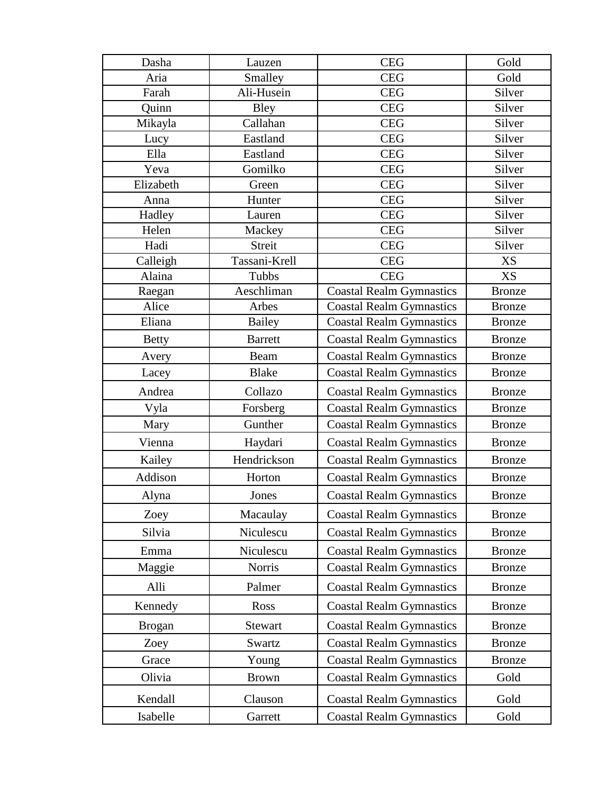| Dasha         | Lauzen         | <b>CEG</b>                      | Gold          |
|---------------|----------------|---------------------------------|---------------|
| Aria          | Smalley        | <b>CEG</b>                      | Gold          |
| Farah         | Ali-Husein     | <b>CEG</b>                      | Silver        |
| Quinn         | Bley           | <b>CEG</b>                      | Silver        |
| Mikayla       | Callahan       | <b>CEG</b>                      | Silver        |
| Lucy          | Eastland       | <b>CEG</b>                      | Silver        |
| Ella          | Eastland       | <b>CEG</b>                      | Silver        |
| Yeva          | Gomilko        | <b>CEG</b>                      | Silver        |
| Elizabeth     | Green          | <b>CEG</b>                      | Silver        |
| Anna          | Hunter         | <b>CEG</b>                      | Silver        |
| Hadley        | Lauren         | <b>CEG</b>                      | Silver        |
| Helen         | Mackey         | <b>CEG</b>                      | Silver        |
| Hadi          | <b>Streit</b>  | <b>CEG</b>                      | Silver        |
| Calleigh      | Tassani-Krell  | <b>CEG</b>                      | <b>XS</b>     |
| Alaina        | Tubbs          | <b>CEG</b>                      | XS            |
| Raegan        | Aeschliman     | <b>Coastal Realm Gymnastics</b> | <b>Bronze</b> |
| Alice         | Arbes          | <b>Coastal Realm Gymnastics</b> | <b>Bronze</b> |
| Eliana        | <b>Bailey</b>  | <b>Coastal Realm Gymnastics</b> | <b>Bronze</b> |
| <b>Betty</b>  | <b>Barrett</b> | <b>Coastal Realm Gymnastics</b> | <b>Bronze</b> |
| Avery         | Beam           | <b>Coastal Realm Gymnastics</b> | <b>Bronze</b> |
| Lacey         | <b>Blake</b>   | <b>Coastal Realm Gymnastics</b> | <b>Bronze</b> |
| Andrea        | Collazo        | <b>Coastal Realm Gymnastics</b> | <b>Bronze</b> |
| Vyla          | Forsberg       | <b>Coastal Realm Gymnastics</b> | <b>Bronze</b> |
| Mary          | Gunther        | <b>Coastal Realm Gymnastics</b> | <b>Bronze</b> |
| Vienna        | Haydari        | <b>Coastal Realm Gymnastics</b> | <b>Bronze</b> |
| Kailey        | Hendrickson    | <b>Coastal Realm Gymnastics</b> | <b>Bronze</b> |
| Addison       | Horton         | <b>Coastal Realm Gymnastics</b> | <b>Bronze</b> |
| Alyna         | Jones          | <b>Coastal Realm Gymnastics</b> | <b>Bronze</b> |
| Zoey          | Macaulay       | <b>Coastal Realm Gymnastics</b> | <b>Bronze</b> |
| Silvia        | Niculescu      | <b>Coastal Realm Gymnastics</b> | <b>Bronze</b> |
| Emma          | Niculescu      | <b>Coastal Realm Gymnastics</b> | <b>Bronze</b> |
| Maggie        | Norris         | <b>Coastal Realm Gymnastics</b> | <b>Bronze</b> |
| Alli          | Palmer         | <b>Coastal Realm Gymnastics</b> | <b>Bronze</b> |
| Kennedy       | Ross           | <b>Coastal Realm Gymnastics</b> | <b>Bronze</b> |
| <b>Brogan</b> | Stewart        | <b>Coastal Realm Gymnastics</b> | <b>Bronze</b> |
| Zoey          | Swartz         | <b>Coastal Realm Gymnastics</b> | <b>Bronze</b> |
| Grace         | Young          | <b>Coastal Realm Gymnastics</b> | <b>Bronze</b> |
| Olivia        | <b>Brown</b>   | <b>Coastal Realm Gymnastics</b> | Gold          |
| Kendall       | Clauson        | <b>Coastal Realm Gymnastics</b> | Gold          |
| Isabelle      | Garrett        | <b>Coastal Realm Gymnastics</b> | Gold          |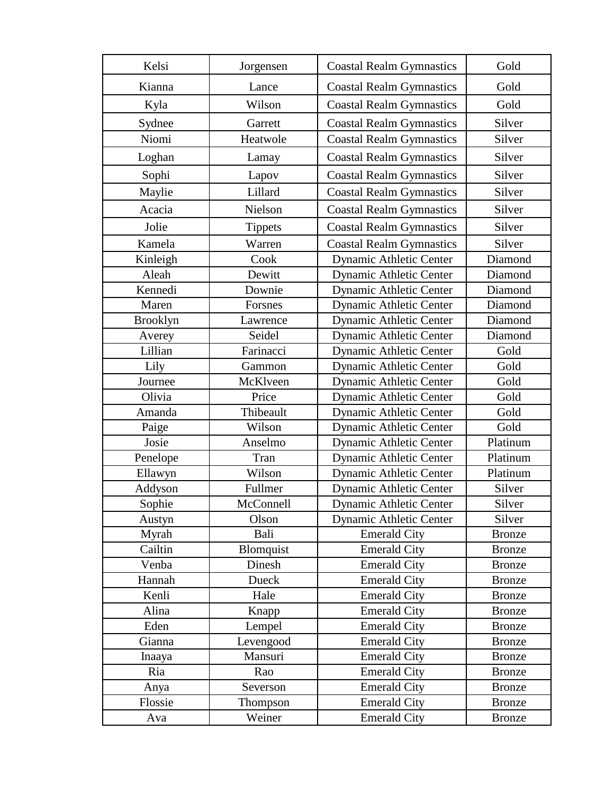| Kelsi           | Jorgensen      | <b>Coastal Realm Gymnastics</b> | Gold          |
|-----------------|----------------|---------------------------------|---------------|
| Kianna          | Lance          | <b>Coastal Realm Gymnastics</b> | Gold          |
| Kyla            | Wilson         | <b>Coastal Realm Gymnastics</b> | Gold          |
| Sydnee          | Garrett        | <b>Coastal Realm Gymnastics</b> | Silver        |
| Niomi           | Heatwole       | <b>Coastal Realm Gymnastics</b> | Silver        |
| Loghan          | Lamay          | <b>Coastal Realm Gymnastics</b> | Silver        |
| Sophi           | Lapov          | <b>Coastal Realm Gymnastics</b> | Silver        |
| Maylie          | Lillard        | <b>Coastal Realm Gymnastics</b> | Silver        |
| Acacia          | Nielson        | <b>Coastal Realm Gymnastics</b> | Silver        |
| Jolie           | <b>Tippets</b> | <b>Coastal Realm Gymnastics</b> | Silver        |
| Kamela          | Warren         | <b>Coastal Realm Gymnastics</b> | Silver        |
| Kinleigh        | Cook           | <b>Dynamic Athletic Center</b>  | Diamond       |
| Aleah           | Dewitt         | <b>Dynamic Athletic Center</b>  | Diamond       |
| Kennedi         | Downie         | <b>Dynamic Athletic Center</b>  | Diamond       |
| Maren           | Forsnes        | <b>Dynamic Athletic Center</b>  | Diamond       |
| <b>Brooklyn</b> | Lawrence       | Dynamic Athletic Center         | Diamond       |
| Averey          | Seidel         | <b>Dynamic Athletic Center</b>  | Diamond       |
| Lillian         | Farinacci      | <b>Dynamic Athletic Center</b>  | Gold          |
| Lily            | Gammon         | <b>Dynamic Athletic Center</b>  | Gold          |
| Journee         | McKlveen       | Dynamic Athletic Center         | Gold          |
| Olivia          | Price          | <b>Dynamic Athletic Center</b>  | Gold          |
| Amanda          | Thibeault      | Dynamic Athletic Center         | Gold          |
| Paige           | Wilson         | <b>Dynamic Athletic Center</b>  | Gold          |
| Josie           | Anselmo        | <b>Dynamic Athletic Center</b>  | Platinum      |
| Penelope        | Tran           | <b>Dynamic Athletic Center</b>  | Platinum      |
| Ellawyn         | Wilson         | <b>Dynamic Athletic Center</b>  | Platinum      |
| Addyson         | Fullmer        | Dynamic Athletic Center         | Silver        |
| Sophie          | McConnell      | <b>Dynamic Athletic Center</b>  | Silver        |
| Austyn          | Olson          | <b>Dynamic Athletic Center</b>  | Silver        |
| Myrah           | Bali           | <b>Emerald City</b>             | <b>Bronze</b> |
| Cailtin         | Blomquist      | <b>Emerald City</b>             | <b>Bronze</b> |
| Venba           | Dinesh         | <b>Emerald City</b>             | <b>Bronze</b> |
| Hannah          | <b>Dueck</b>   | <b>Emerald City</b>             | <b>Bronze</b> |
| Kenli           | Hale           | <b>Emerald City</b>             | <b>Bronze</b> |
| Alina           | Knapp          | <b>Emerald City</b>             | <b>Bronze</b> |
| Eden            | Lempel         | <b>Emerald City</b>             | <b>Bronze</b> |
| Gianna          | Levengood      | <b>Emerald City</b>             | <b>Bronze</b> |
| Inaaya          | Mansuri        | <b>Emerald City</b>             | <b>Bronze</b> |
| Ria             | Rao            | <b>Emerald City</b>             | <b>Bronze</b> |
| Anya            | Severson       | <b>Emerald City</b>             | <b>Bronze</b> |
| Flossie         | Thompson       | <b>Emerald City</b>             | <b>Bronze</b> |
| Ava             | Weiner         | <b>Emerald City</b>             | <b>Bronze</b> |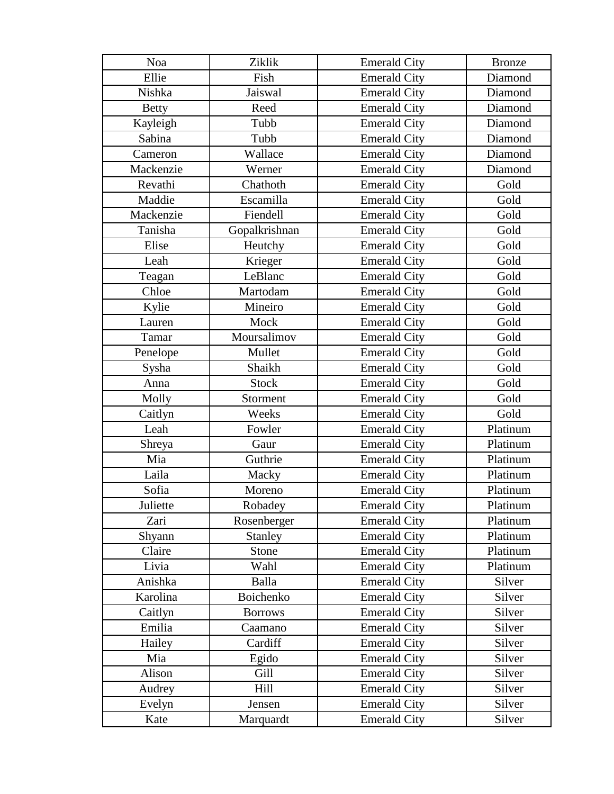| Noa          | Ziklik         | <b>Emerald City</b> | <b>Bronze</b> |
|--------------|----------------|---------------------|---------------|
| Ellie        | Fish           | <b>Emerald City</b> | Diamond       |
| Nishka       | Jaiswal        | <b>Emerald City</b> | Diamond       |
| <b>Betty</b> | Reed           | <b>Emerald City</b> | Diamond       |
| Kayleigh     | Tubb           | <b>Emerald City</b> | Diamond       |
| Sabina       | Tubb           | <b>Emerald City</b> | Diamond       |
| Cameron      | Wallace        | <b>Emerald City</b> | Diamond       |
| Mackenzie    | Werner         | <b>Emerald City</b> | Diamond       |
| Revathi      | Chathoth       | <b>Emerald City</b> | Gold          |
| Maddie       | Escamilla      | <b>Emerald City</b> | Gold          |
| Mackenzie    | Fiendell       | <b>Emerald City</b> | Gold          |
| Tanisha      | Gopalkrishnan  | <b>Emerald City</b> | Gold          |
| Elise        | Heutchy        | <b>Emerald City</b> | Gold          |
| Leah         | Krieger        | <b>Emerald City</b> | Gold          |
| Teagan       | LeBlanc        | <b>Emerald City</b> | Gold          |
| Chloe        | Martodam       | <b>Emerald City</b> | Gold          |
| Kylie        | Mineiro        | <b>Emerald City</b> | Gold          |
| Lauren       | Mock           | <b>Emerald City</b> | Gold          |
| Tamar        | Moursalimov    | <b>Emerald City</b> | Gold          |
| Penelope     | Mullet         | <b>Emerald City</b> | Gold          |
| Sysha        | Shaikh         | <b>Emerald City</b> | Gold          |
| Anna         | <b>Stock</b>   | <b>Emerald City</b> | Gold          |
| Molly        | Storment       | <b>Emerald City</b> | Gold          |
| Caitlyn      | Weeks          | <b>Emerald City</b> | Gold          |
| Leah         | Fowler         | <b>Emerald City</b> | Platinum      |
| Shreya       | Gaur           | <b>Emerald City</b> | Platinum      |
| Mia          | Guthrie        | <b>Emerald City</b> | Platinum      |
| Laila        | Macky          | <b>Emerald City</b> | Platinum      |
| Sofia        | Moreno         | <b>Emerald City</b> | Platinum      |
| Juliette     | Robadey        | <b>Emerald City</b> | Platinum      |
| Zari         | Rosenberger    | <b>Emerald City</b> | Platinum      |
| Shyann       | <b>Stanley</b> | <b>Emerald City</b> | Platinum      |
| Claire       | Stone          | <b>Emerald City</b> | Platinum      |
| Livia        | Wahl           | <b>Emerald City</b> | Platinum      |
| Anishka      | <b>Balla</b>   | <b>Emerald City</b> | Silver        |
| Karolina     | Boichenko      | <b>Emerald City</b> | Silver        |
| Caitlyn      | <b>Borrows</b> | <b>Emerald City</b> | Silver        |
| Emilia       | Caamano        | <b>Emerald City</b> | Silver        |
| Hailey       | Cardiff        | <b>Emerald City</b> | Silver        |
| Mia          | Egido          | <b>Emerald City</b> | Silver        |
| Alison       | Gill           | <b>Emerald City</b> | Silver        |
| Audrey       | Hill           | <b>Emerald City</b> | Silver        |
| Evelyn       | Jensen         | <b>Emerald City</b> | Silver        |
| Kate         | Marquardt      | <b>Emerald City</b> | Silver        |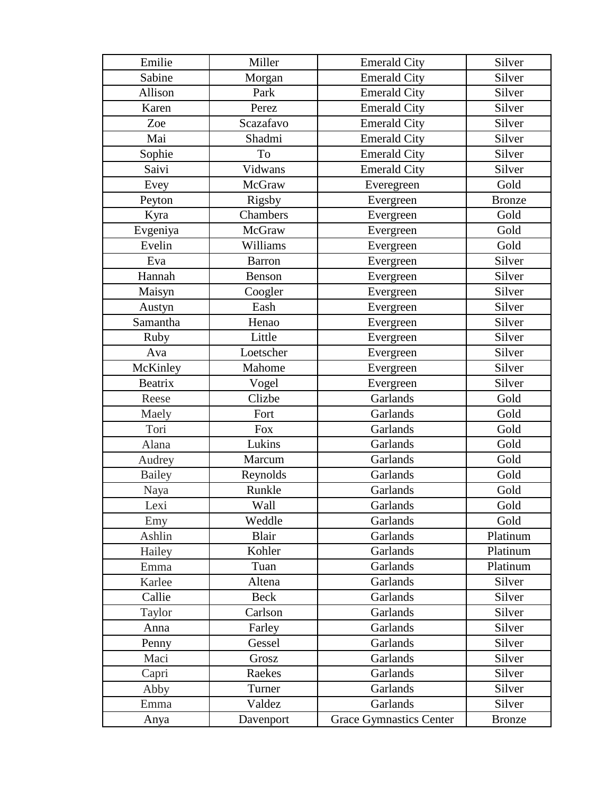| Emilie         | Miller        | <b>Emerald City</b>            | Silver        |
|----------------|---------------|--------------------------------|---------------|
| Sabine         | Morgan        | <b>Emerald City</b>            | Silver        |
| Allison        | Park          | <b>Emerald City</b>            | Silver        |
| Karen          | Perez         | <b>Emerald City</b>            | Silver        |
| Zoe            | Scazafavo     | <b>Emerald City</b>            | Silver        |
| Mai            | Shadmi        | <b>Emerald City</b>            | Silver        |
| Sophie         | To            | <b>Emerald City</b>            | Silver        |
| Saivi          | Vidwans       | <b>Emerald City</b>            | Silver        |
| Evey           | McGraw        | Everegreen                     | Gold          |
| Peyton         | Rigsby        | Evergreen                      | <b>Bronze</b> |
| Kyra           | Chambers      | Evergreen                      | Gold          |
| Evgeniya       | McGraw        | Evergreen                      | Gold          |
| Evelin         | Williams      | Evergreen                      | Gold          |
| Eva            | <b>Barron</b> | Evergreen                      | Silver        |
| Hannah         | Benson        | Evergreen                      | Silver        |
| Maisyn         | Coogler       | Evergreen                      | Silver        |
| Austyn         | Eash          | Evergreen                      | Silver        |
| Samantha       | Henao         | Evergreen                      | Silver        |
| Ruby           | Little        | Evergreen                      | Silver        |
| Ava            | Loetscher     | Evergreen                      | Silver        |
| McKinley       | Mahome        | Evergreen                      | Silver        |
| <b>Beatrix</b> | Vogel         | Evergreen                      | Silver        |
| Reese          | Clizbe        | Garlands                       | Gold          |
| Maely          | Fort          | Garlands                       | Gold          |
| Tori           | Fox           | Garlands                       | Gold          |
| Alana          | Lukins        | Garlands                       | Gold          |
| Audrey         | Marcum        | Garlands                       | Gold          |
| <b>Bailey</b>  | Reynolds      | Garlands                       | Gold          |
| Naya           | Runkle        | Garlands                       | Gold          |
| Lexi           | Wall          | Garlands                       | Gold          |
| Emy            | Weddle        | Garlands                       | Gold          |
| Ashlin         | <b>Blair</b>  | Garlands                       | Platinum      |
| Hailey         | Kohler        | Garlands                       | Platinum      |
| Emma           | Tuan          | Garlands                       | Platinum      |
| Karlee         | Altena        | Garlands                       | Silver        |
| Callie         | <b>Beck</b>   | Garlands                       | Silver        |
| Taylor         | Carlson       | Garlands                       | Silver        |
| Anna           | Farley        | Garlands                       | Silver        |
| Penny          | Gessel        | Garlands                       | Silver        |
| Maci           | Grosz         | Garlands                       | Silver        |
| Capri          | Raekes        | Garlands                       | Silver        |
| Abby           | Turner        | Garlands                       | Silver        |
| Emma           | Valdez        | Garlands                       | Silver        |
| Anya           | Davenport     | <b>Grace Gymnastics Center</b> | <b>Bronze</b> |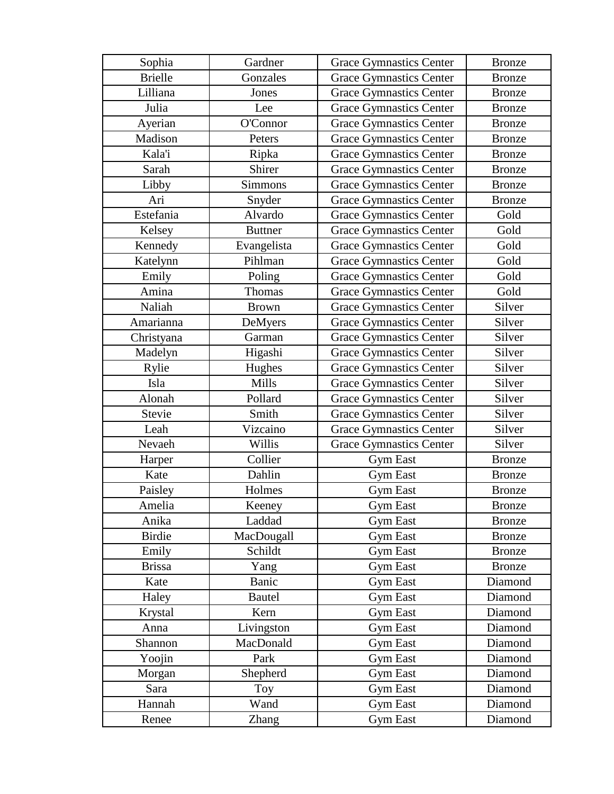| Sophia         | Gardner        | <b>Grace Gymnastics Center</b> | <b>Bronze</b> |
|----------------|----------------|--------------------------------|---------------|
| <b>Brielle</b> | Gonzales       | <b>Grace Gymnastics Center</b> | <b>Bronze</b> |
| Lilliana       | Jones          | <b>Grace Gymnastics Center</b> | <b>Bronze</b> |
| Julia          | Lee            | <b>Grace Gymnastics Center</b> | <b>Bronze</b> |
| Ayerian        | O'Connor       | <b>Grace Gymnastics Center</b> | <b>Bronze</b> |
| Madison        | Peters         | <b>Grace Gymnastics Center</b> | <b>Bronze</b> |
| Kala'i         | Ripka          | <b>Grace Gymnastics Center</b> | <b>Bronze</b> |
| Sarah          | Shirer         | <b>Grace Gymnastics Center</b> | <b>Bronze</b> |
| Libby          | <b>Simmons</b> | <b>Grace Gymnastics Center</b> | <b>Bronze</b> |
| Ari            | Snyder         | <b>Grace Gymnastics Center</b> | <b>Bronze</b> |
| Estefania      | Alvardo        | <b>Grace Gymnastics Center</b> | Gold          |
| Kelsey         | <b>Buttner</b> | <b>Grace Gymnastics Center</b> | Gold          |
| Kennedy        | Evangelista    | <b>Grace Gymnastics Center</b> | Gold          |
| Katelynn       | Pihlman        | <b>Grace Gymnastics Center</b> | Gold          |
| Emily          | Poling         | <b>Grace Gymnastics Center</b> | Gold          |
| Amina          | Thomas         | <b>Grace Gymnastics Center</b> | Gold          |
| Naliah         | <b>Brown</b>   | <b>Grace Gymnastics Center</b> | Silver        |
| Amarianna      | DeMyers        | <b>Grace Gymnastics Center</b> | Silver        |
| Christyana     | Garman         | <b>Grace Gymnastics Center</b> | Silver        |
| Madelyn        | Higashi        | <b>Grace Gymnastics Center</b> | Silver        |
| Rylie          | Hughes         | <b>Grace Gymnastics Center</b> | Silver        |
| Isla           | Mills          | <b>Grace Gymnastics Center</b> | Silver        |
| Alonah         | Pollard        | <b>Grace Gymnastics Center</b> | Silver        |
| Stevie         | Smith          | <b>Grace Gymnastics Center</b> | Silver        |
| Leah           | Vizcaino       | <b>Grace Gymnastics Center</b> | Silver        |
| Nevaeh         | Willis         | <b>Grace Gymnastics Center</b> | Silver        |
| Harper         | Collier        | <b>Gym East</b>                | <b>Bronze</b> |
| Kate           | Dahlin         | <b>Gym East</b>                | <b>Bronze</b> |
| Paisley        | Holmes         | <b>Gym East</b>                | <b>Bronze</b> |
| Amelia         | Keeney         | <b>Gym East</b>                | <b>Bronze</b> |
| Anika          | Laddad         | <b>Gym East</b>                | <b>Bronze</b> |
| <b>Birdie</b>  | MacDougall     | <b>Gym East</b>                | <b>Bronze</b> |
| Emily          | Schildt        | <b>Gym East</b>                | <b>Bronze</b> |
| <b>Brissa</b>  | Yang           | <b>Gym East</b>                | <b>Bronze</b> |
| Kate           | Banic          | <b>Gym East</b>                | Diamond       |
| Haley          | <b>Bautel</b>  | Gym East                       | Diamond       |
| Krystal        | Kern           | <b>Gym East</b>                | Diamond       |
| Anna           | Livingston     | <b>Gym East</b>                | Diamond       |
| Shannon        | MacDonald      | <b>Gym East</b>                | Diamond       |
| Yoojin         | Park           | <b>Gym East</b>                | Diamond       |
| Morgan         | Shepherd       | <b>Gym East</b>                | Diamond       |
| Sara           | Toy            | <b>Gym East</b>                | Diamond       |
| Hannah         | Wand           | <b>Gym East</b>                | Diamond       |
| Renee          | Zhang          | <b>Gym East</b>                | Diamond       |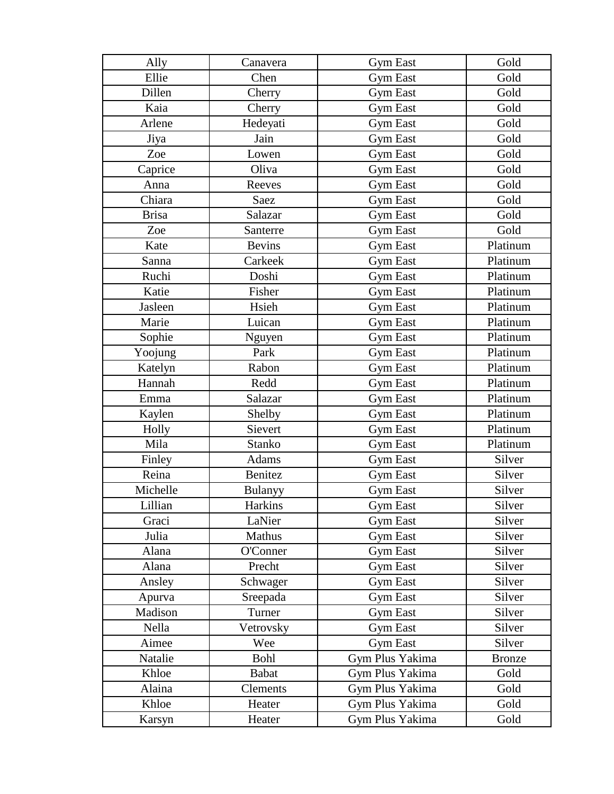| Ally         | Canavera      | <b>Gym East</b> | Gold          |
|--------------|---------------|-----------------|---------------|
| Ellie        | Chen          | <b>Gym East</b> | Gold          |
| Dillen       | Cherry        | <b>Gym East</b> | Gold          |
| Kaia         | Cherry        | <b>Gym East</b> | Gold          |
| Arlene       | Hedeyati      | <b>Gym East</b> | Gold          |
| Jiya         | Jain          | <b>Gym East</b> | Gold          |
| Zoe          | Lowen         | <b>Gym East</b> | Gold          |
| Caprice      | Oliva         | <b>Gym East</b> | Gold          |
| Anna         | Reeves        | <b>Gym East</b> | Gold          |
| Chiara       | Saez          | <b>Gym East</b> | Gold          |
| <b>Brisa</b> | Salazar       | <b>Gym East</b> | Gold          |
| Zoe          | Santerre      | Gym East        | Gold          |
| Kate         | <b>Bevins</b> | <b>Gym East</b> | Platinum      |
| Sanna        | Carkeek       | <b>Gym East</b> | Platinum      |
| Ruchi        | Doshi         | <b>Gym East</b> | Platinum      |
| Katie        | Fisher        | <b>Gym East</b> | Platinum      |
| Jasleen      | Hsieh         | <b>Gym East</b> | Platinum      |
| Marie        | Luican        | <b>Gym East</b> | Platinum      |
| Sophie       | Nguyen        | <b>Gym East</b> | Platinum      |
| Yoojung      | Park          | <b>Gym East</b> | Platinum      |
| Katelyn      | Rabon         | <b>Gym East</b> | Platinum      |
| Hannah       | Redd          | <b>Gym East</b> | Platinum      |
| Emma         | Salazar       | <b>Gym East</b> | Platinum      |
| Kaylen       | Shelby        | <b>Gym East</b> | Platinum      |
| Holly        | Sievert       | Gym East        | Platinum      |
| Mila         | Stanko        | <b>Gym East</b> | Platinum      |
| Finley       | Adams         | <b>Gym East</b> | Silver        |
| Reina        | Benitez       | <b>Gym East</b> | Silver        |
| Michelle     | Bulanyy       | <b>Gym East</b> | Silver        |
| Lillian      | Harkins       | <b>Gym East</b> | Silver        |
| Graci        | LaNier        | <b>Gym East</b> | Silver        |
| Julia        | Mathus        | <b>Gym East</b> | Silver        |
| Alana        | O'Conner      | <b>Gym East</b> | Silver        |
| Alana        | Precht        | Gym East        | Silver        |
| Ansley       | Schwager      | <b>Gym East</b> | Silver        |
| Apurva       | Sreepada      | <b>Gym East</b> | Silver        |
| Madison      | Turner        | <b>Gym East</b> | Silver        |
| Nella        | Vetrovsky     | <b>Gym East</b> | Silver        |
| Aimee        | Wee           | <b>Gym East</b> | Silver        |
| Natalie      | <b>Bohl</b>   | Gym Plus Yakima | <b>Bronze</b> |
| Khloe        | <b>Babat</b>  | Gym Plus Yakima | Gold          |
| Alaina       | Clements      | Gym Plus Yakima | Gold          |
| Khloe        | Heater        | Gym Plus Yakima | Gold          |
| Karsyn       | Heater        | Gym Plus Yakima | Gold          |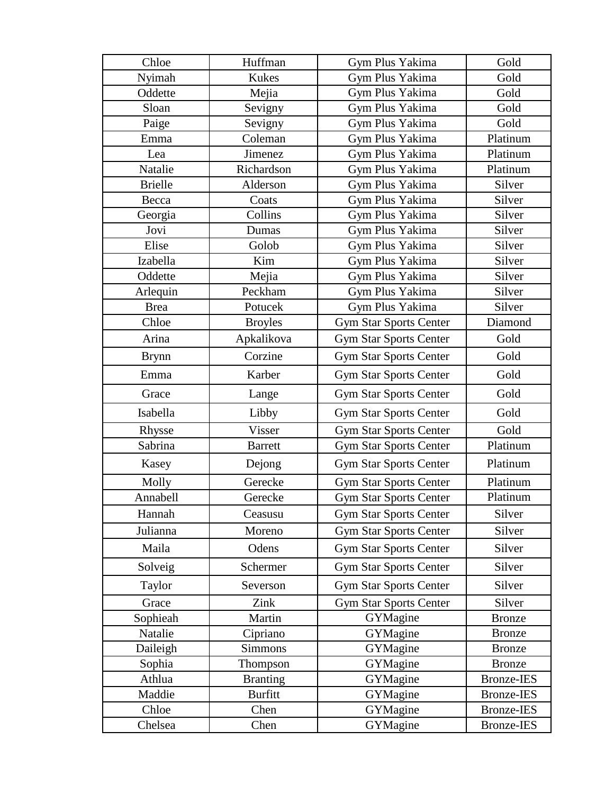| Chloe          | Huffman         | Gym Plus Yakima               | Gold              |
|----------------|-----------------|-------------------------------|-------------------|
| Nyimah         | <b>Kukes</b>    | Gym Plus Yakima               | Gold              |
| Oddette        | Mejia           | Gym Plus Yakima               | Gold              |
| Sloan          | Sevigny         | Gym Plus Yakima               | Gold              |
| Paige          | Sevigny         | Gym Plus Yakima               | Gold              |
| Emma           | Coleman         | Gym Plus Yakima               | Platinum          |
| Lea            | Jimenez         | Gym Plus Yakima               | Platinum          |
| Natalie        | Richardson      | Gym Plus Yakima               | Platinum          |
| <b>Brielle</b> | Alderson        | Gym Plus Yakima               | Silver            |
| Becca          | Coats           | Gym Plus Yakima               | Silver            |
| Georgia        | Collins         | Gym Plus Yakima               | Silver            |
| Jovi           | Dumas           | Gym Plus Yakima               | Silver            |
| Elise          | Golob           | Gym Plus Yakima               | Silver            |
| Izabella       | Kim             | Gym Plus Yakima               | Silver            |
| Oddette        | Mejia           | Gym Plus Yakima               | Silver            |
| Arlequin       | Peckham         | Gym Plus Yakima               | Silver            |
| <b>Brea</b>    | Potucek         | Gym Plus Yakima               | Silver            |
| Chloe          | <b>Broyles</b>  | <b>Gym Star Sports Center</b> | Diamond           |
| Arina          | Apkalikova      | <b>Gym Star Sports Center</b> | Gold              |
| <b>Brynn</b>   | Corzine         | <b>Gym Star Sports Center</b> | Gold              |
| Emma           | Karber          | Gym Star Sports Center        | Gold              |
| Grace          | Lange           | <b>Gym Star Sports Center</b> | Gold              |
| Isabella       | Libby           | <b>Gym Star Sports Center</b> | Gold              |
| Rhysse         | Visser          | <b>Gym Star Sports Center</b> | Gold              |
| Sabrina        | <b>Barrett</b>  | <b>Gym Star Sports Center</b> | Platinum          |
| Kasey          | Dejong          | <b>Gym Star Sports Center</b> | Platinum          |
| Molly          | Gerecke         | <b>Gym Star Sports Center</b> | Platinum          |
| Annabell       | Gerecke         | <b>Gym Star Sports Center</b> | Platinum          |
| Hannah         | Ceasusu         | <b>Gym Star Sports Center</b> | Silver            |
| Julianna       | Moreno          | <b>Gym Star Sports Center</b> | Silver            |
| Maila          | Odens           | <b>Gym Star Sports Center</b> | Silver            |
| Solveig        | Schermer        | <b>Gym Star Sports Center</b> | Silver            |
| Taylor         | Severson        | <b>Gym Star Sports Center</b> | Silver            |
| Grace          | Zink            | <b>Gym Star Sports Center</b> | Silver            |
| Sophieah       | Martin          | GYMagine                      | <b>Bronze</b>     |
| Natalie        | Cipriano        | GYMagine                      | <b>Bronze</b>     |
| Daileigh       | Simmons         | GYMagine                      | <b>Bronze</b>     |
| Sophia         | Thompson        | GYMagine                      | <b>Bronze</b>     |
| Athlua         | <b>Branting</b> | GYMagine                      | <b>Bronze-IES</b> |
| Maddie         | <b>Burfitt</b>  | GYMagine                      | <b>Bronze-IES</b> |
| Chloe          | Chen            | GYMagine                      | <b>Bronze-IES</b> |
| Chelsea        | Chen            | GYMagine                      | <b>Bronze-IES</b> |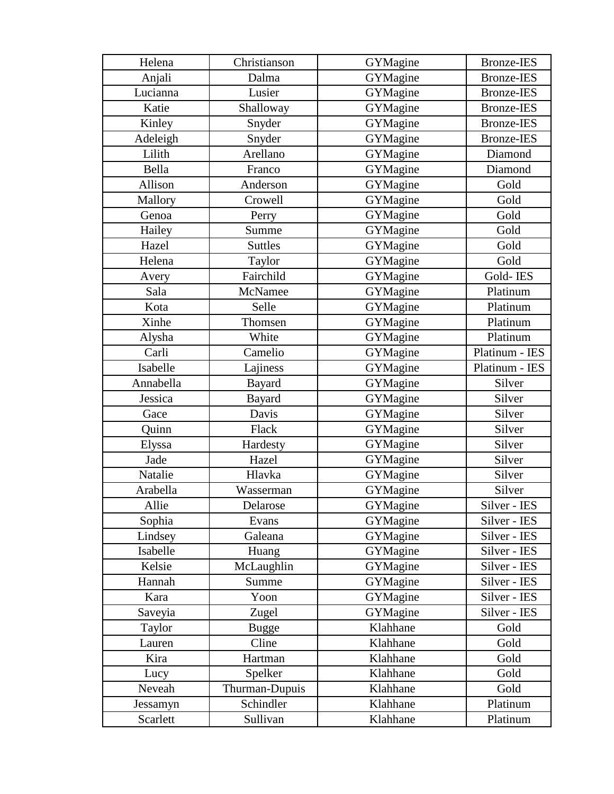| Helena    | Christianson   | GYMagine | <b>Bronze-IES</b> |
|-----------|----------------|----------|-------------------|
| Anjali    | Dalma          | GYMagine | <b>Bronze-IES</b> |
| Lucianna  | Lusier         | GYMagine | <b>Bronze-IES</b> |
| Katie     | Shalloway      | GYMagine | <b>Bronze-IES</b> |
| Kinley    | Snyder         | GYMagine | <b>Bronze-IES</b> |
| Adeleigh  | Snyder         | GYMagine | <b>Bronze-IES</b> |
| Lilith    | Arellano       | GYMagine | Diamond           |
| Bella     | Franco         | GYMagine | Diamond           |
| Allison   | Anderson       | GYMagine | Gold              |
| Mallory   | Crowell        | GYMagine | Gold              |
| Genoa     | Perry          | GYMagine | Gold              |
| Hailey    | Summe          | GYMagine | Gold              |
| Hazel     | <b>Suttles</b> | GYMagine | Gold              |
| Helena    | Taylor         | GYMagine | Gold              |
| Avery     | Fairchild      | GYMagine | Gold-IES          |
| Sala      | McNamee        | GYMagine | Platinum          |
| Kota      | Selle          | GYMagine | Platinum          |
| Xinhe     | Thomsen        | GYMagine | Platinum          |
| Alysha    | White          | GYMagine | Platinum          |
| Carli     | Camelio        | GYMagine | Platinum - IES    |
| Isabelle  | Lajiness       | GYMagine | Platinum - IES    |
| Annabella | <b>Bayard</b>  | GYMagine | Silver            |
| Jessica   | Bayard         | GYMagine | Silver            |
| Gace      | Davis          | GYMagine | Silver            |
| Quinn     | Flack          | GYMagine | Silver            |
| Elyssa    | Hardesty       | GYMagine | Silver            |
| Jade      | Hazel          | GYMagine | Silver            |
| Natalie   | Hlavka         | GYMagine | Silver            |
| Arabella  | Wasserman      | GYMagine | Silver            |
| Allie     | Delarose       | GYMagine | Silver - IES      |
| Sophia    | Evans          | GYMagine | Silver - IES      |
| Lindsey   | Galeana        | GYMagine | Silver - IES      |
| Isabelle  | Huang          | GYMagine | Silver - IES      |
| Kelsie    | McLaughlin     | GYMagine | Silver - IES      |
| Hannah    | Summe          | GYMagine | Silver - IES      |
| Kara      | Yoon           | GYMagine | Silver - IES      |
| Saveyia   | Zugel          | GYMagine | Silver - IES      |
| Taylor    | <b>Bugge</b>   | Klahhane | Gold              |
| Lauren    | Cline          | Klahhane | Gold              |
| Kira      | Hartman        | Klahhane | Gold              |
| Lucy      | Spelker        | Klahhane | Gold              |
| Neveah    | Thurman-Dupuis | Klahhane | Gold              |
| Jessamyn  | Schindler      | Klahhane | Platinum          |
| Scarlett  | Sullivan       | Klahhane | Platinum          |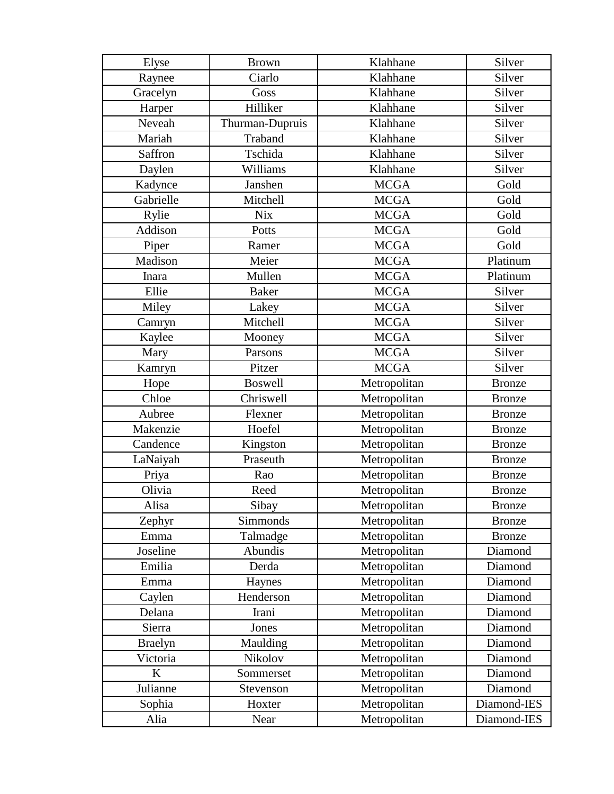| Elyse          | <b>Brown</b>    | Klahhane     | Silver        |
|----------------|-----------------|--------------|---------------|
| Raynee         | Ciarlo          | Klahhane     | Silver        |
| Gracelyn       | Goss            | Klahhane     | Silver        |
| Harper         | Hilliker        | Klahhane     | Silver        |
| Neveah         | Thurman-Dupruis | Klahhane     | Silver        |
| Mariah         | Traband         | Klahhane     | Silver        |
| Saffron        | Tschida         | Klahhane     | Silver        |
| Daylen         | Williams        | Klahhane     | Silver        |
| Kadynce        | Janshen         | <b>MCGA</b>  | Gold          |
| Gabrielle      | Mitchell        | <b>MCGA</b>  | Gold          |
| Rylie          | <b>Nix</b>      | <b>MCGA</b>  | Gold          |
| Addison        | Potts           | <b>MCGA</b>  | Gold          |
| Piper          | Ramer           | <b>MCGA</b>  | Gold          |
| Madison        | Meier           | <b>MCGA</b>  | Platinum      |
| Inara          | Mullen          | <b>MCGA</b>  | Platinum      |
| Ellie          | <b>Baker</b>    | <b>MCGA</b>  | Silver        |
| Miley          | Lakey           | <b>MCGA</b>  | Silver        |
| Camryn         | Mitchell        | <b>MCGA</b>  | Silver        |
| Kaylee         | Mooney          | <b>MCGA</b>  | Silver        |
| Mary           | Parsons         | <b>MCGA</b>  | Silver        |
| Kamryn         | Pitzer          | <b>MCGA</b>  | Silver        |
| Hope           | <b>Boswell</b>  | Metropolitan | <b>Bronze</b> |
| Chloe          | Chriswell       | Metropolitan | <b>Bronze</b> |
| Aubree         | Flexner         | Metropolitan | <b>Bronze</b> |
| Makenzie       | Hoefel          | Metropolitan | <b>Bronze</b> |
| Candence       | Kingston        | Metropolitan | <b>Bronze</b> |
| LaNaiyah       | Praseuth        | Metropolitan | <b>Bronze</b> |
| Priya          | Rao             | Metropolitan | <b>Bronze</b> |
| Olivia         | Reed            | Metropolitan | <b>Bronze</b> |
| Alisa          | Sibay           | Metropolitan | <b>Bronze</b> |
| Zephyr         | Simmonds        | Metropolitan | <b>Bronze</b> |
| Emma           | Talmadge        | Metropolitan | <b>Bronze</b> |
| Joseline       | Abundis         | Metropolitan | Diamond       |
| Emilia         | Derda           | Metropolitan | Diamond       |
| Emma           | Haynes          | Metropolitan | Diamond       |
| Caylen         | Henderson       | Metropolitan | Diamond       |
| Delana         | Irani           | Metropolitan | Diamond       |
| Sierra         | Jones           | Metropolitan | Diamond       |
| <b>Braelyn</b> | Maulding        | Metropolitan | Diamond       |
| Victoria       | Nikolov         | Metropolitan | Diamond       |
| $\bf K$        | Sommerset       | Metropolitan | Diamond       |
| Julianne       | Stevenson       | Metropolitan | Diamond       |
| Sophia         | Hoxter          | Metropolitan | Diamond-IES   |
| Alia           | Near            | Metropolitan | Diamond-IES   |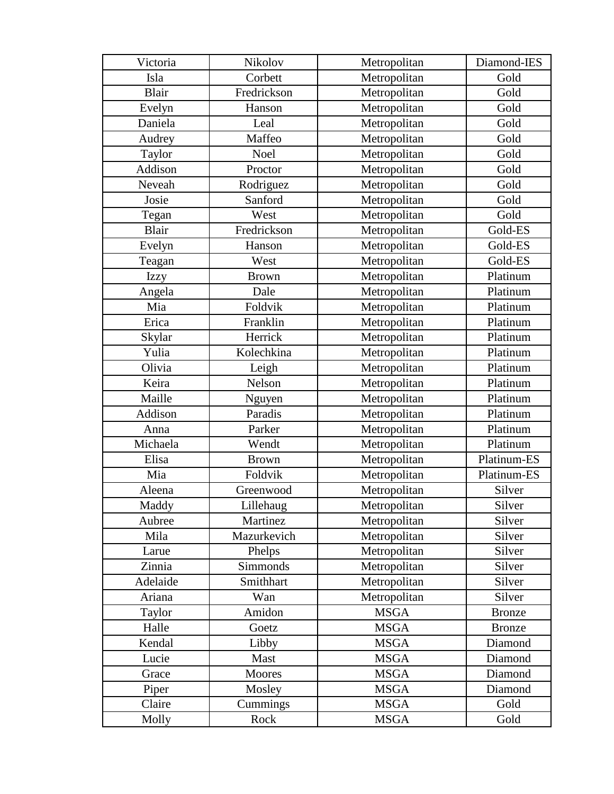| Victoria     | Nikolov      | Metropolitan | Diamond-IES   |
|--------------|--------------|--------------|---------------|
| Isla         | Corbett      | Metropolitan | Gold          |
| <b>Blair</b> | Fredrickson  | Metropolitan | Gold          |
| Evelyn       | Hanson       | Metropolitan | Gold          |
| Daniela      | Leal         | Metropolitan | Gold          |
| Audrey       | Maffeo       | Metropolitan | Gold          |
| Taylor       | Noel         | Metropolitan | Gold          |
| Addison      | Proctor      | Metropolitan | Gold          |
| Neveah       | Rodriguez    | Metropolitan | Gold          |
| Josie        | Sanford      | Metropolitan | Gold          |
| Tegan        | West         | Metropolitan | Gold          |
| Blair        | Fredrickson  | Metropolitan | Gold-ES       |
| Evelyn       | Hanson       | Metropolitan | Gold-ES       |
| Teagan       | West         | Metropolitan | Gold-ES       |
| <b>Izzy</b>  | <b>Brown</b> | Metropolitan | Platinum      |
| Angela       | Dale         | Metropolitan | Platinum      |
| Mia          | Foldvik      | Metropolitan | Platinum      |
| Erica        | Franklin     | Metropolitan | Platinum      |
| Skylar       | Herrick      | Metropolitan | Platinum      |
| Yulia        | Kolechkina   | Metropolitan | Platinum      |
| Olivia       | Leigh        | Metropolitan | Platinum      |
| Keira        | Nelson       | Metropolitan | Platinum      |
| Maille       | Nguyen       | Metropolitan | Platinum      |
| Addison      | Paradis      | Metropolitan | Platinum      |
| Anna         | Parker       | Metropolitan | Platinum      |
| Michaela     | Wendt        | Metropolitan | Platinum      |
| Elisa        | <b>Brown</b> | Metropolitan | Platinum-ES   |
| Mia          | Foldvik      | Metropolitan | Platinum-ES   |
| Aleena       | Greenwood    | Metropolitan | Silver        |
| Maddy        | Lillehaug    | Metropolitan | Silver        |
| Aubree       | Martinez     | Metropolitan | Silver        |
| Mila         | Mazurkevich  | Metropolitan | Silver        |
| Larue        | Phelps       | Metropolitan | Silver        |
| Zinnia       | Simmonds     | Metropolitan | Silver        |
| Adelaide     | Smithhart    | Metropolitan | Silver        |
| Ariana       | Wan          | Metropolitan | Silver        |
| Taylor       | Amidon       | <b>MSGA</b>  | <b>Bronze</b> |
| Halle        | Goetz        | <b>MSGA</b>  | <b>Bronze</b> |
| Kendal       | Libby        | <b>MSGA</b>  | Diamond       |
| Lucie        | Mast         | <b>MSGA</b>  | Diamond       |
| Grace        | Moores       | <b>MSGA</b>  | Diamond       |
| Piper        | Mosley       | <b>MSGA</b>  | Diamond       |
| Claire       | Cummings     | <b>MSGA</b>  | Gold          |
| Molly        | Rock         | <b>MSGA</b>  | Gold          |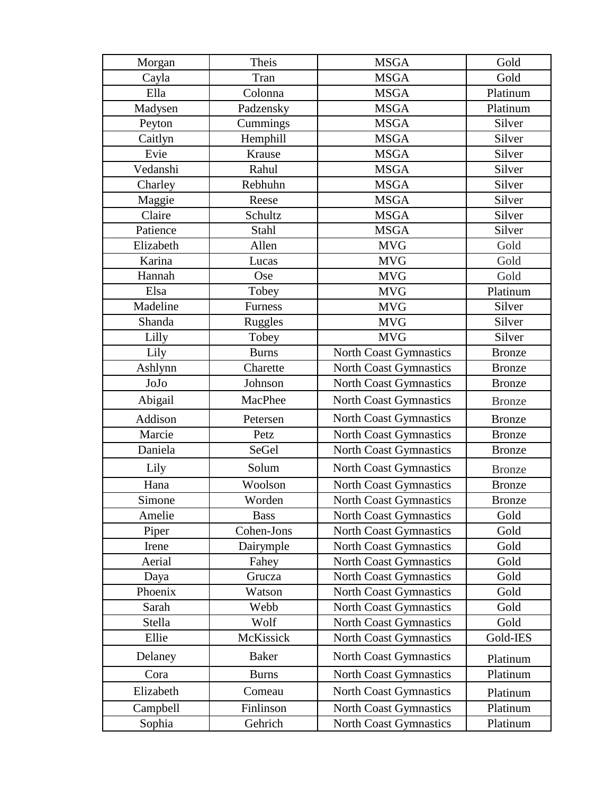| Morgan    | Theis          | <b>MSGA</b>                   | Gold          |
|-----------|----------------|-------------------------------|---------------|
| Cayla     | Tran           | <b>MSGA</b>                   | Gold          |
| Ella      | Colonna        | <b>MSGA</b>                   | Platinum      |
| Madysen   | Padzensky      | <b>MSGA</b>                   | Platinum      |
| Peyton    | Cummings       | <b>MSGA</b>                   | Silver        |
| Caitlyn   | Hemphill       | <b>MSGA</b>                   | Silver        |
| Evie      | Krause         | <b>MSGA</b>                   | Silver        |
| Vedanshi  | Rahul          | <b>MSGA</b>                   | Silver        |
| Charley   | Rebhuhn        | <b>MSGA</b>                   | Silver        |
| Maggie    | Reese          | <b>MSGA</b>                   | Silver        |
| Claire    | Schultz        | <b>MSGA</b>                   | Silver        |
| Patience  | Stahl          | <b>MSGA</b>                   | Silver        |
| Elizabeth | Allen          | <b>MVG</b>                    | Gold          |
| Karina    | Lucas          | <b>MVG</b>                    | Gold          |
| Hannah    | Ose            | <b>MVG</b>                    | Gold          |
| Elsa      | Tobey          | <b>MVG</b>                    | Platinum      |
| Madeline  | <b>Furness</b> | <b>MVG</b>                    | Silver        |
| Shanda    | <b>Ruggles</b> | <b>MVG</b>                    | Silver        |
| Lilly     | Tobey          | <b>MVG</b>                    | Silver        |
| Lily      | <b>Burns</b>   | North Coast Gymnastics        | <b>Bronze</b> |
| Ashlynn   | Charette       | <b>North Coast Gymnastics</b> | <b>Bronze</b> |
| JoJo      | Johnson        | North Coast Gymnastics        | <b>Bronze</b> |
| Abigail   | MacPhee        | North Coast Gymnastics        | <b>Bronze</b> |
| Addison   | Petersen       | North Coast Gymnastics        | <b>Bronze</b> |
| Marcie    | Petz           | <b>North Coast Gymnastics</b> | <b>Bronze</b> |
| Daniela   | SeGel          | North Coast Gymnastics        | <b>Bronze</b> |
| Lily      | Solum          | <b>North Coast Gymnastics</b> | <b>Bronze</b> |
| Hana      | Woolson        | North Coast Gymnastics        | <b>Bronze</b> |
| Simone    | Worden         | North Coast Gymnastics        | <b>Bronze</b> |
| Amelie    | <b>Bass</b>    | <b>North Coast Gymnastics</b> | Gold          |
| Piper     | Cohen-Jons     | <b>North Coast Gymnastics</b> | Gold          |
| Irene     | Dairymple      | <b>North Coast Gymnastics</b> | Gold          |
| Aerial    | Fahey          | <b>North Coast Gymnastics</b> | Gold          |
| Daya      | Grucza         | <b>North Coast Gymnastics</b> | Gold          |
| Phoenix   | Watson         | <b>North Coast Gymnastics</b> | Gold          |
| Sarah     | Webb           | <b>North Coast Gymnastics</b> | Gold          |
| Stella    | Wolf           | <b>North Coast Gymnastics</b> | Gold          |
| Ellie     | McKissick      | <b>North Coast Gymnastics</b> | Gold-IES      |
| Delaney   | <b>Baker</b>   | <b>North Coast Gymnastics</b> | Platinum      |
| Cora      | <b>Burns</b>   | <b>North Coast Gymnastics</b> | Platinum      |
| Elizabeth | Comeau         | <b>North Coast Gymnastics</b> | Platinum      |
| Campbell  | Finlinson      | <b>North Coast Gymnastics</b> | Platinum      |
| Sophia    | Gehrich        | North Coast Gymnastics        | Platinum      |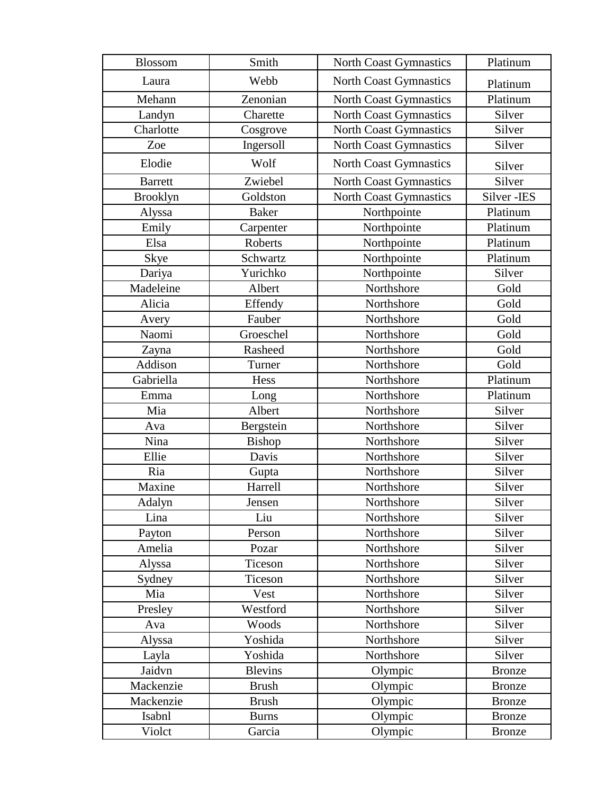| Blossom         | Smith          | North Coast Gymnastics        | Platinum      |
|-----------------|----------------|-------------------------------|---------------|
| Laura           | Webb           | North Coast Gymnastics        | Platinum      |
| Mehann          | Zenonian       | North Coast Gymnastics        | Platinum      |
| Landyn          | Charette       | <b>North Coast Gymnastics</b> | Silver        |
| Charlotte       | Cosgrove       | North Coast Gymnastics        | Silver        |
| Zoe             | Ingersoll      | <b>North Coast Gymnastics</b> | Silver        |
| Elodie          | Wolf           | <b>North Coast Gymnastics</b> | Silver        |
| <b>Barrett</b>  | Zwiebel        | <b>North Coast Gymnastics</b> | Silver        |
| <b>Brooklyn</b> | Goldston       | North Coast Gymnastics        | Silver-IES    |
| Alyssa          | <b>Baker</b>   | Northpointe                   | Platinum      |
| Emily           | Carpenter      | Northpointe                   | Platinum      |
| Elsa            | Roberts        | Northpointe                   | Platinum      |
| Skye            | Schwartz       | Northpointe                   | Platinum      |
| Dariya          | Yurichko       | Northpointe                   | Silver        |
| Madeleine       | Albert         | Northshore                    | Gold          |
| Alicia          | Effendy        | Northshore                    | Gold          |
| Avery           | Fauber         | Northshore                    | Gold          |
| Naomi           | Groeschel      | Northshore                    | Gold          |
| Zayna           | Rasheed        | Northshore                    | Gold          |
| Addison         | Turner         | Northshore                    | Gold          |
| Gabriella       | Hess           | Northshore                    | Platinum      |
| Emma            | Long           | Northshore                    | Platinum      |
| Mia             | Albert         | Northshore                    | Silver        |
| Ava             | Bergstein      | Northshore                    | Silver        |
| Nina            | Bishop         | Northshore                    | Silver        |
| Ellie           | Davis          | Northshore                    | Silver        |
| Ria             | Gupta          | Northshore                    | Silver        |
| Maxine          | Harrell        | Northshore                    | Silver        |
| Adalyn          | Jensen         | Northshore                    | Silver        |
| Lina            | Liu            | Northshore                    | Silver        |
| Payton          | Person         | Northshore                    | Silver        |
| Amelia          | Pozar          | Northshore                    | Silver        |
| Alyssa          | Ticeson        | Northshore                    | Silver        |
| Sydney          | Ticeson        | Northshore                    | Silver        |
| Mia             | Vest           | Northshore                    | Silver        |
| Presley         | Westford       | Northshore                    | Silver        |
| Ava             | Woods          | Northshore                    | Silver        |
| Alyssa          | Yoshida        | Northshore                    | Silver        |
| Layla           | Yoshida        | Northshore                    | Silver        |
| Jaidvn          | <b>Blevins</b> | Olympic                       | <b>Bronze</b> |
| Mackenzie       | <b>Brush</b>   | Olympic                       | <b>Bronze</b> |
| Mackenzie       | <b>Brush</b>   | Olympic                       | <b>Bronze</b> |
| Isabnl          | <b>Burns</b>   | Olympic                       | <b>Bronze</b> |
| Violct          | Garcia         | Olympic                       | <b>Bronze</b> |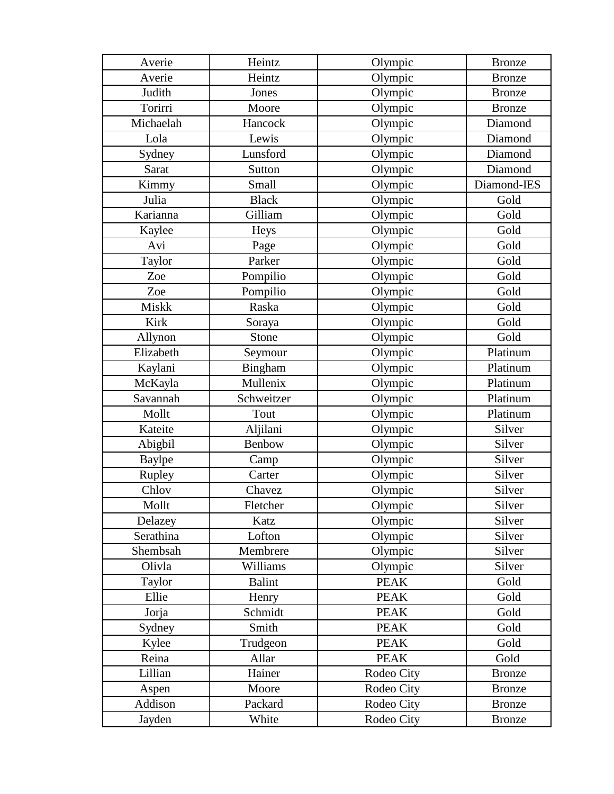| Averie           | Heintz        | Olympic     | <b>Bronze</b> |
|------------------|---------------|-------------|---------------|
| Averie           | Heintz        | Olympic     | <b>Bronze</b> |
| Judith           | Jones         | Olympic     | <b>Bronze</b> |
| Torirri          | Moore         | Olympic     | <b>Bronze</b> |
| Michaelah        | Hancock       | Olympic     | Diamond       |
| Lola             | Lewis         | Olympic     | Diamond       |
| Sydney           | Lunsford      | Olympic     | Diamond       |
| Sarat            | Sutton        | Olympic     | Diamond       |
| Kimmy            | Small         | Olympic     | Diamond-IES   |
| Julia            | <b>Black</b>  | Olympic     | Gold          |
| Karianna         | Gilliam       | Olympic     | Gold          |
| Kaylee           | Heys          | Olympic     | Gold          |
| Avi              | Page          | Olympic     | Gold          |
| Taylor           | Parker        | Olympic     | Gold          |
| Zoe              | Pompilio      | Olympic     | Gold          |
| Zoe              | Pompilio      | Olympic     | Gold          |
| <b>Miskk</b>     | Raska         | Olympic     | Gold          |
| <b>Kirk</b>      | Soraya        | Olympic     | Gold          |
| Allynon          | Stone         | Olympic     | Gold          |
| Elizabeth        | Seymour       | Olympic     | Platinum      |
| Kaylani          | Bingham       | Olympic     | Platinum      |
| McKayla          | Mullenix      | Olympic     | Platinum      |
| Savannah         | Schweitzer    | Olympic     | Platinum      |
| Mollt            | Tout          | Olympic     | Platinum      |
| Kateite          | Aljilani      | Olympic     | Silver        |
| Abigbil          | Benbow        | Olympic     | Silver        |
| <b>Baylpe</b>    | Camp          | Olympic     | Silver        |
| Rupley           | Carter        | Olympic     | Silver        |
| Chlov            | Chavez        | Olympic     | Silver        |
| Mollt            | Fletcher      | Olympic     | Silver        |
| Delazey          | Katz          | Olympic     | Silver        |
| Serathina        | Lofton        | Olympic     | Silver        |
| Shembsah         | Membrere      | Olympic     | Silver        |
| Olivla           | Williams      | Olympic     | Silver        |
| Taylor           | <b>Balint</b> | <b>PEAK</b> | Gold          |
| Ellie            | Henry         | <b>PEAK</b> | Gold          |
| Jorja            | Schmidt       | <b>PEAK</b> | Gold          |
| Sydney           | Smith         | <b>PEAK</b> | Gold          |
| Kylee            | Trudgeon      | <b>PEAK</b> | Gold          |
| Reina            | Allar         | <b>PEAK</b> | Gold          |
|                  |               |             |               |
| Lillian          | Hainer        | Rodeo City  | <b>Bronze</b> |
|                  | Moore         | Rodeo City  | <b>Bronze</b> |
| Aspen<br>Addison | Packard       | Rodeo City  | <b>Bronze</b> |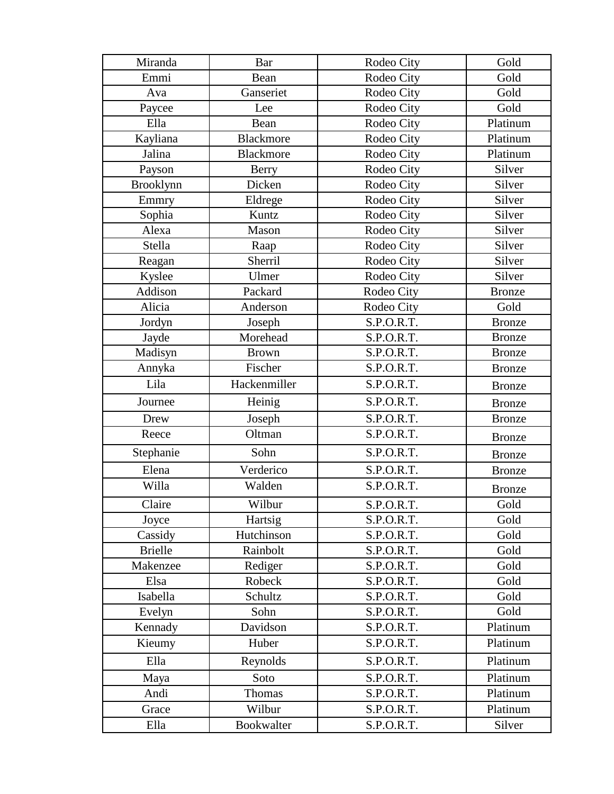| Miranda          | Bar              | Rodeo City | Gold          |
|------------------|------------------|------------|---------------|
| Emmi             | Bean             | Rodeo City | Gold          |
| Ava              | Ganseriet        | Rodeo City | Gold          |
| Paycee           | Lee              | Rodeo City | Gold          |
| Ella             | Bean             | Rodeo City | Platinum      |
| Kayliana         | <b>Blackmore</b> | Rodeo City | Platinum      |
| Jalina           | <b>Blackmore</b> | Rodeo City | Platinum      |
| Payson           | <b>Berry</b>     | Rodeo City | Silver        |
| <b>Brooklynn</b> | Dicken           | Rodeo City | Silver        |
| Emmry            | Eldrege          | Rodeo City | Silver        |
| Sophia           | Kuntz            | Rodeo City | Silver        |
| Alexa            | Mason            | Rodeo City | Silver        |
| Stella           | Raap             | Rodeo City | Silver        |
| Reagan           | Sherril          | Rodeo City | Silver        |
| Kyslee           | Ulmer            | Rodeo City | Silver        |
| Addison          | Packard          | Rodeo City | <b>Bronze</b> |
| Alicia           | Anderson         | Rodeo City | Gold          |
| Jordyn           | Joseph           | S.P.O.R.T. | <b>Bronze</b> |
| Jayde            | Morehead         | S.P.O.R.T. | <b>Bronze</b> |
| Madisyn          | <b>Brown</b>     | S.P.O.R.T. | <b>Bronze</b> |
| Annyka           | Fischer          | S.P.O.R.T. | <b>Bronze</b> |
| Lila             | Hackenmiller     | S.P.O.R.T. | <b>Bronze</b> |
| Journee          | Heinig           | S.P.O.R.T. | <b>Bronze</b> |
| Drew             | Joseph           | S.P.O.R.T. | <b>Bronze</b> |
| Reece            | Oltman           | S.P.O.R.T. | <b>Bronze</b> |
| Stephanie        | Sohn             | S.P.O.R.T. | <b>Bronze</b> |
| Elena            | Verderico        | S.P.O.R.T. | <b>Bronze</b> |
| Willa            | Walden           | S.P.O.R.T. | <b>Bronze</b> |
| Claire           | Wilbur           | S.P.O.R.T. | Gold          |
| Joyce            | Hartsig          | S.P.O.R.T. | Gold          |
| Cassidy          | Hutchinson       | S.P.O.R.T. | Gold          |
| <b>Brielle</b>   | Rainbolt         | S.P.O.R.T. | Gold          |
| Makenzee         | Rediger          | S.P.O.R.T. | Gold          |
| Elsa             | Robeck           | S.P.O.R.T. | Gold          |
| Isabella         | Schultz          | S.P.O.R.T. | Gold          |
| Evelyn           | Sohn             | S.P.O.R.T. | Gold          |
| Kennady          | Davidson         | S.P.O.R.T. | Platinum      |
| Kieumy           | Huber            | S.P.O.R.T. | Platinum      |
| Ella             | Reynolds         | S.P.O.R.T. | Platinum      |
| Maya             | Soto             | S.P.O.R.T. | Platinum      |
| Andi             | Thomas           | S.P.O.R.T. | Platinum      |
| Grace            | Wilbur           | S.P.O.R.T. | Platinum      |
| Ella             | Bookwalter       | S.P.O.R.T. | Silver        |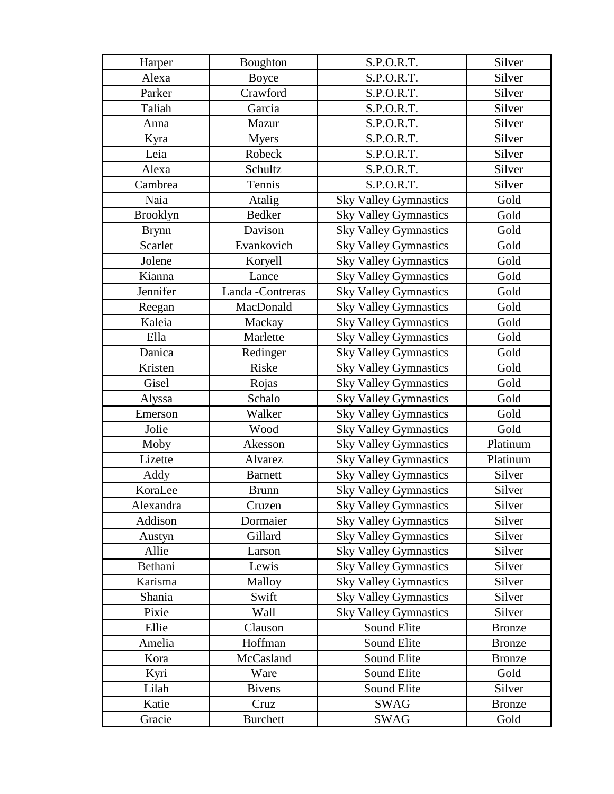| Harper          | Boughton         | S.P.O.R.T.                   | Silver        |
|-----------------|------------------|------------------------------|---------------|
| Alexa           | <b>Boyce</b>     | S.P.O.R.T.                   | Silver        |
| Parker          | Crawford         | S.P.O.R.T.                   | Silver        |
| Taliah          | Garcia           | S.P.O.R.T.                   | Silver        |
| Anna            | Mazur            | S.P.O.R.T.                   | Silver        |
| Kyra            | <b>Myers</b>     | S.P.O.R.T.                   | Silver        |
| Leia            | Robeck           | S.P.O.R.T.                   | Silver        |
| Alexa           | Schultz          | S.P.O.R.T.                   | Silver        |
| Cambrea         | Tennis           | S.P.O.R.T.                   | Silver        |
| Naia            | Atalig           | <b>Sky Valley Gymnastics</b> | Gold          |
| <b>Brooklyn</b> | <b>Bedker</b>    | <b>Sky Valley Gymnastics</b> | Gold          |
| <b>Brynn</b>    | Davison          | <b>Sky Valley Gymnastics</b> | Gold          |
| Scarlet         | Evankovich       | <b>Sky Valley Gymnastics</b> | Gold          |
| Jolene          | Koryell          | <b>Sky Valley Gymnastics</b> | Gold          |
| Kianna          | Lance            | <b>Sky Valley Gymnastics</b> | Gold          |
| Jennifer        | Landa -Contreras | <b>Sky Valley Gymnastics</b> | Gold          |
| Reegan          | MacDonald        | <b>Sky Valley Gymnastics</b> | Gold          |
| Kaleia          | Mackay           | <b>Sky Valley Gymnastics</b> | Gold          |
| Ella            | Marlette         | <b>Sky Valley Gymnastics</b> | Gold          |
| Danica          | Redinger         | <b>Sky Valley Gymnastics</b> | Gold          |
| Kristen         | Riske            | <b>Sky Valley Gymnastics</b> | Gold          |
| Gisel           | Rojas            | <b>Sky Valley Gymnastics</b> | Gold          |
| Alyssa          | Schalo           | <b>Sky Valley Gymnastics</b> | Gold          |
| Emerson         | Walker           | <b>Sky Valley Gymnastics</b> | Gold          |
| Jolie           | Wood             | <b>Sky Valley Gymnastics</b> | Gold          |
| Moby            | Akesson          | <b>Sky Valley Gymnastics</b> | Platinum      |
| Lizette         | Alvarez          | <b>Sky Valley Gymnastics</b> | Platinum      |
| Addy            | <b>Barnett</b>   | <b>Sky Valley Gymnastics</b> | Silver        |
| KoraLee         | <b>Brunn</b>     | <b>Sky Valley Gymnastics</b> | Silver        |
| Alexandra       | Cruzen           | <b>Sky Valley Gymnastics</b> | Silver        |
| Addison         | Dormaier         | <b>Sky Valley Gymnastics</b> | Silver        |
| Austyn          | Gillard          | <b>Sky Valley Gymnastics</b> | Silver        |
| Allie           | Larson           | <b>Sky Valley Gymnastics</b> | Silver        |
| Bethani         | Lewis            | <b>Sky Valley Gymnastics</b> | Silver        |
| Karisma         | Malloy           | <b>Sky Valley Gymnastics</b> | Silver        |
| Shania          | Swift            | <b>Sky Valley Gymnastics</b> | Silver        |
| Pixie           | Wall             | <b>Sky Valley Gymnastics</b> | Silver        |
| Ellie           | Clauson          | Sound Elite                  | <b>Bronze</b> |
| Amelia          | Hoffman          | Sound Elite                  | <b>Bronze</b> |
| Kora            | McCasland        | Sound Elite                  | <b>Bronze</b> |
| Kyri            | Ware             | Sound Elite                  | Gold          |
| Lilah           | <b>Bivens</b>    | Sound Elite                  | Silver        |
| Katie           | Cruz             | <b>SWAG</b>                  | <b>Bronze</b> |
| Gracie          | <b>Burchett</b>  | <b>SWAG</b>                  | Gold          |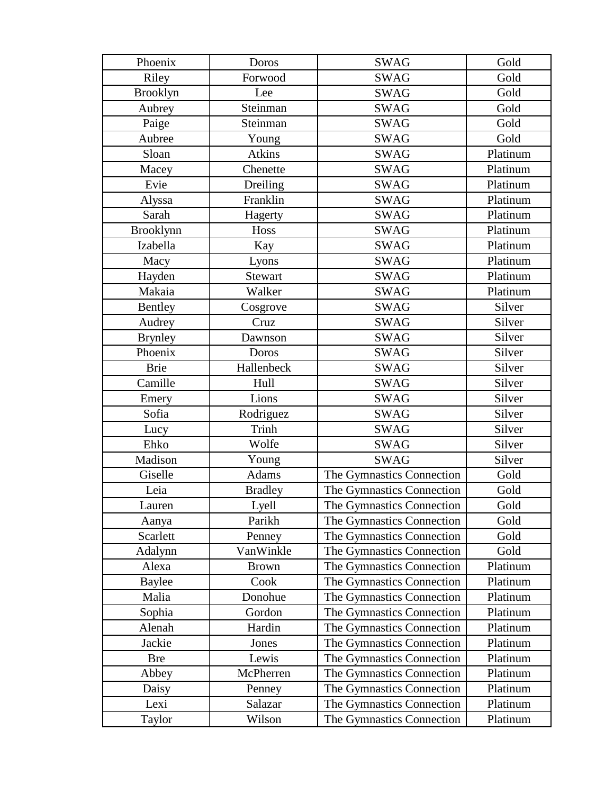| Phoenix          | Doros          | <b>SWAG</b>               | Gold     |
|------------------|----------------|---------------------------|----------|
| Riley            | Forwood        | <b>SWAG</b>               | Gold     |
| <b>Brooklyn</b>  | Lee            | <b>SWAG</b>               | Gold     |
| Aubrey           | Steinman       | <b>SWAG</b>               | Gold     |
| Paige            | Steinman       | <b>SWAG</b>               | Gold     |
| Aubree           | Young          | <b>SWAG</b>               | Gold     |
| Sloan            | <b>Atkins</b>  | <b>SWAG</b>               | Platinum |
| Macey            | Chenette       | <b>SWAG</b>               | Platinum |
| Evie             | Dreiling       | <b>SWAG</b>               | Platinum |
| Alyssa           | Franklin       | <b>SWAG</b>               | Platinum |
| Sarah            | Hagerty        | <b>SWAG</b>               | Platinum |
| <b>Brooklynn</b> | Hoss           | <b>SWAG</b>               | Platinum |
| Izabella         | Kay            | <b>SWAG</b>               | Platinum |
| Macy             | Lyons          | <b>SWAG</b>               | Platinum |
| Hayden           | Stewart        | <b>SWAG</b>               | Platinum |
| Makaia           | Walker         | <b>SWAG</b>               | Platinum |
| Bentley          | Cosgrove       | <b>SWAG</b>               | Silver   |
| Audrey           | Cruz           | <b>SWAG</b>               | Silver   |
| <b>Brynley</b>   | Dawnson        | <b>SWAG</b>               | Silver   |
| Phoenix          | Doros          | <b>SWAG</b>               | Silver   |
| <b>Brie</b>      | Hallenbeck     | <b>SWAG</b>               | Silver   |
| Camille          | Hull           | <b>SWAG</b>               | Silver   |
| Emery            | Lions          | <b>SWAG</b>               | Silver   |
| Sofia            | Rodriguez      | <b>SWAG</b>               | Silver   |
| Lucy             | Trinh          | <b>SWAG</b>               | Silver   |
| Ehko             | Wolfe          | <b>SWAG</b>               | Silver   |
| Madison          | Young          | <b>SWAG</b>               | Silver   |
| Giselle          | <b>Adams</b>   | The Gymnastics Connection | Gold     |
| Leia             | <b>Bradley</b> | The Gymnastics Connection | Gold     |
| Lauren           | Lyell          | The Gymnastics Connection | Gold     |
| Aanya            | Parikh         | The Gymnastics Connection | Gold     |
| Scarlett         | Penney         | The Gymnastics Connection | Gold     |
| Adalynn          | VanWinkle      | The Gymnastics Connection | Gold     |
| Alexa            | <b>Brown</b>   | The Gymnastics Connection | Platinum |
| Baylee           | Cook           | The Gymnastics Connection | Platinum |
| Malia            | Donohue        | The Gymnastics Connection | Platinum |
| Sophia           | Gordon         | The Gymnastics Connection | Platinum |
| Alenah           | Hardin         | The Gymnastics Connection | Platinum |
| Jackie           | Jones          | The Gymnastics Connection | Platinum |
| <b>Bre</b>       | Lewis          | The Gymnastics Connection | Platinum |
| Abbey            | McPherren      | The Gymnastics Connection | Platinum |
| Daisy            | Penney         | The Gymnastics Connection | Platinum |
| Lexi             | Salazar        | The Gymnastics Connection | Platinum |
| Taylor           | Wilson         | The Gymnastics Connection | Platinum |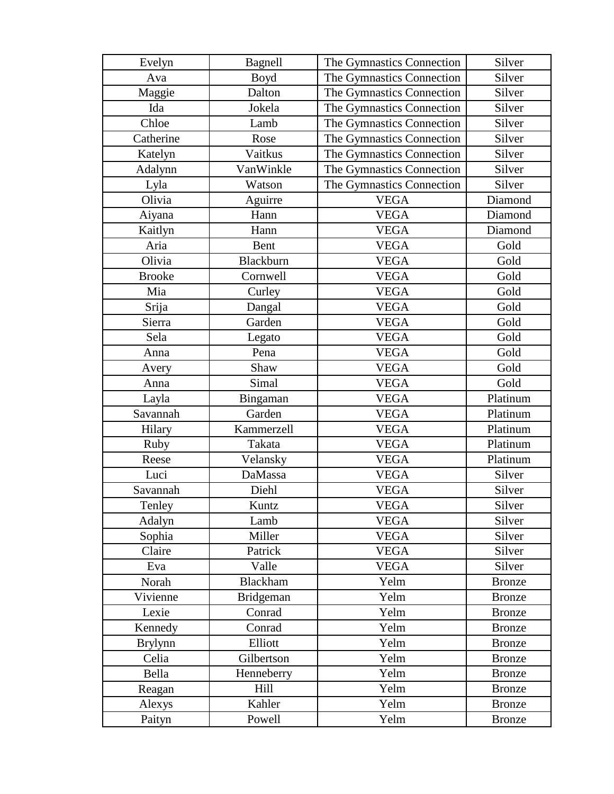| Evelyn         | Bagnell         | The Gymnastics Connection | Silver        |
|----------------|-----------------|---------------------------|---------------|
| Ava            | <b>Boyd</b>     | The Gymnastics Connection | Silver        |
| Maggie         | Dalton          | The Gymnastics Connection | Silver        |
| Ida            | Jokela          | The Gymnastics Connection | Silver        |
| Chloe          | Lamb            | The Gymnastics Connection | Silver        |
| Catherine      | Rose            | The Gymnastics Connection | Silver        |
| Katelyn        | Vaitkus         | The Gymnastics Connection | Silver        |
| Adalynn        | VanWinkle       | The Gymnastics Connection | Silver        |
| Lyla           | Watson          | The Gymnastics Connection | Silver        |
| Olivia         | Aguirre         | <b>VEGA</b>               | Diamond       |
| Aiyana         | Hann            | <b>VEGA</b>               | Diamond       |
| Kaitlyn        | Hann            | <b>VEGA</b>               | Diamond       |
| Aria           | Bent            | <b>VEGA</b>               | Gold          |
| Olivia         | Blackburn       | <b>VEGA</b>               | Gold          |
| <b>Brooke</b>  | Cornwell        | <b>VEGA</b>               | Gold          |
| Mia            | Curley          | <b>VEGA</b>               | Gold          |
| Srija          | Dangal          | <b>VEGA</b>               | Gold          |
| Sierra         | Garden          | <b>VEGA</b>               | Gold          |
| Sela           | Legato          | <b>VEGA</b>               | Gold          |
| Anna           | Pena            | <b>VEGA</b>               | Gold          |
| Avery          | Shaw            | <b>VEGA</b>               | Gold          |
| Anna           | Simal           | <b>VEGA</b>               | Gold          |
| Layla          | Bingaman        | <b>VEGA</b>               | Platinum      |
| Savannah       | Garden          | <b>VEGA</b>               | Platinum      |
| Hilary         | Kammerzell      | <b>VEGA</b>               | Platinum      |
| Ruby           | Takata          | <b>VEGA</b>               | Platinum      |
| Reese          | Velansky        | <b>VEGA</b>               | Platinum      |
| Luci           | DaMassa         | <b>VEGA</b>               | Silver        |
| Savannah       | Diehl           | <b>VEGA</b>               | Silver        |
| Tenley         | Kuntz           | <b>VEGA</b>               | Silver        |
| Adalyn         | Lamb            | <b>VEGA</b>               | Silver        |
| Sophia         | Miller          | <b>VEGA</b>               | Silver        |
| Claire         | Patrick         | <b>VEGA</b>               | Silver        |
| Eva            | Valle           | <b>VEGA</b>               | Silver        |
| Norah          | <b>Blackham</b> | Yelm                      | <b>Bronze</b> |
| Vivienne       | Bridgeman       | Yelm                      | <b>Bronze</b> |
| Lexie          | Conrad          | Yelm                      | <b>Bronze</b> |
| Kennedy        | Conrad          | Yelm                      | <b>Bronze</b> |
| <b>Brylynn</b> | Elliott         | Yelm                      | <b>Bronze</b> |
| Celia          | Gilbertson      | Yelm                      | <b>Bronze</b> |
| Bella          | Henneberry      | Yelm                      | <b>Bronze</b> |
| Reagan         | Hill            | Yelm                      | <b>Bronze</b> |
| Alexys         | Kahler          | Yelm                      | <b>Bronze</b> |
| Paityn         | Powell          | Yelm                      | <b>Bronze</b> |